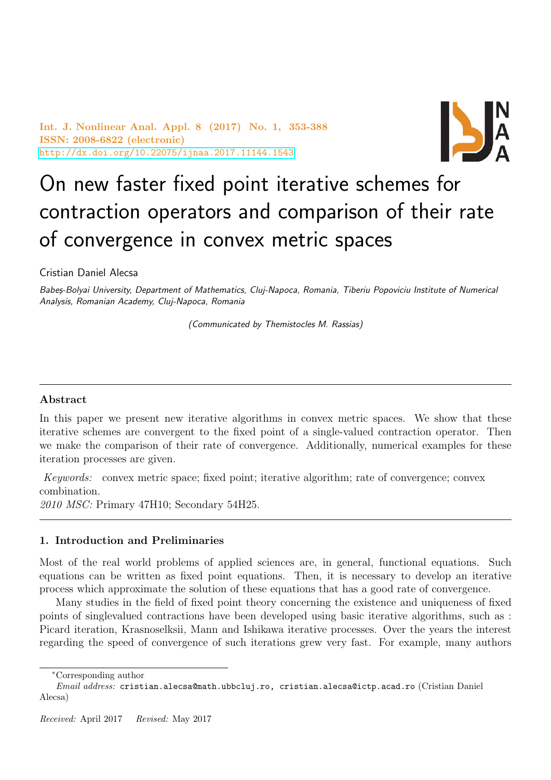Int. J. Nonlinear Anal. Appl. 8 (2017) No. 1, 353-388 ISSN: 2008-6822 (electronic) <http://dx.doi.org/10.22075/ijnaa.2017.11144.1543>



# On new faster fixed point iterative schemes for contraction operators and comparison of their rate of convergence in convex metric spaces

Cristian Daniel Alecsa

Babes-Bolyai University, Department of Mathematics, Clui-Napoca, Romania, Tiberiu Popoviciu Institute of Numerical Analysis, Romanian Academy, Cluj-Napoca, Romania

(Communicated by Themistocles M. Rassias)

## Abstract

In this paper we present new iterative algorithms in convex metric spaces. We show that these iterative schemes are convergent to the fixed point of a single-valued contraction operator. Then we make the comparison of their rate of convergence. Additionally, numerical examples for these iteration processes are given.

Keywords: convex metric space; fixed point; iterative algorithm; rate of convergence; convex combination.

2010 MSC: Primary 47H10; Secondary 54H25.

## 1. Introduction and Preliminaries

Most of the real world problems of applied sciences are, in general, functional equations. Such equations can be written as fixed point equations. Then, it is necessary to develop an iterative process which approximate the solution of these equations that has a good rate of convergence.

Many studies in the field of fixed point theory concerning the existence and uniqueness of fixed points of singlevalued contractions have been developed using basic iterative algorithms, such as : Picard iteration, Krasnoselksii, Mann and Ishikawa iterative processes. Over the years the interest regarding the speed of convergence of such iterations grew very fast. For example, many authors

<sup>∗</sup>Corresponding author

Email address: cristian.alecsa@math.ubbcluj.ro, cristian.alecsa@ictp.acad.ro (Cristian Daniel Alecsa)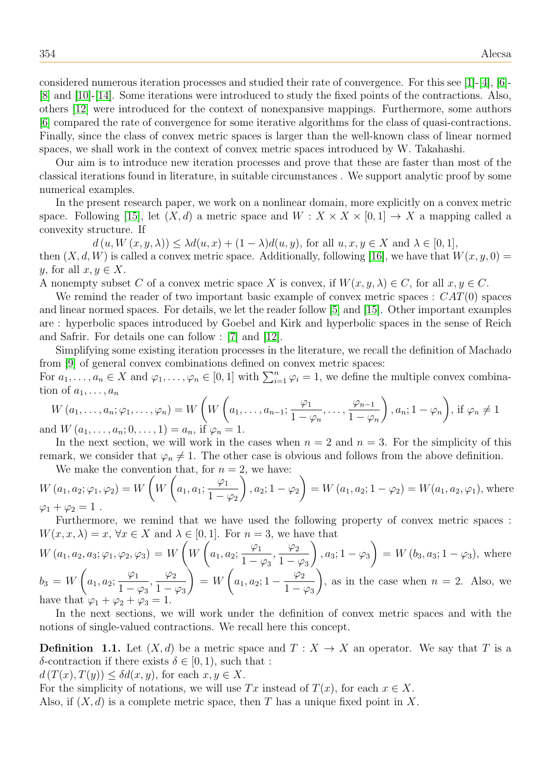considered numerous iteration processes and studied their rate of convergence. For this see  $[1]-[4]$  $[1]-[4]$  $[1]-[4]$ ,  $[6]$ -[\[8\]](#page-35-3) and [\[10\]](#page-35-4)-[\[14\]](#page-35-5). Some iterations were introduced to study the fixed points of the contractions. Also, others [\[12\]](#page-35-6) were introduced for the context of nonexpansive mappings. Furthermore, some authors [\[6\]](#page-35-2) compared the rate of convergence for some iterative algorithms for the class of quasi-contractions. Finally, since the class of convex metric spaces is larger than the well-known class of linear normed spaces, we shall work in the context of convex metric spaces introduced by W. Takahashi.

Our aim is to introduce new iteration processes and prove that these are faster than most of the classical iterations found in literature, in suitable circumstances . We support analytic proof by some numerical examples.

In the present research paper, we work on a nonlinear domain, more explicitly on a convex metric space. Following [\[15\]](#page-35-7), let  $(X, d)$  a metric space and  $W : X \times X \times [0, 1] \rightarrow X$  a mapping called a convexity structure. If

 $d(u, W(x, y, \lambda)) \leq \lambda d(u, x) + (1 - \lambda) d(u, y)$ , for all  $u, x, y \in X$  and  $\lambda \in [0, 1]$ , then  $(X, d, W)$  is called a convex metric space. Additionally, following [\[16\]](#page-35-8), we have that  $W(x, y, 0) =$ y, for all  $x, y \in X$ .

A nonempty subset C of a convex metric space X is convex, if  $W(x, y, \lambda) \in C$ , for all  $x, y \in C$ .

We remind the reader of two important basic example of convex metric spaces :  $CAT(0)$  spaces and linear normed spaces. For details, we let the reader follow [\[5\]](#page-35-9) and [\[15\]](#page-35-7). Other important examples are : hyperbolic spaces introduced by Goebel and Kirk and hyperbolic spaces in the sense of Reich and Safrir. For details one can follow : [\[7\]](#page-35-10) and [\[12\]](#page-35-6).

Simplifying some existing iteration processes in the literature, we recall the definition of Machado from [\[9\]](#page-35-11) of general convex combinations defined on convex metric spaces:

For  $a_1, \ldots, a_n \in X$  and  $\varphi_1, \ldots, \varphi_n \in [0,1]$  with  $\sum_{i=1}^n \varphi_i = 1$ , we define the multiple convex combination of  $a_1, \ldots, a_n$ 

$$
W(a_1, \ldots, a_n; \varphi_1, \ldots, \varphi_n) = W\left(W\left(a_1, \ldots, a_{n-1}; \frac{\varphi_1}{1 - \varphi_n}, \ldots, \frac{\varphi_{n-1}}{1 - \varphi_n}\right), a_n; 1 - \varphi_n\right), \text{ if } \varphi_n \neq 1
$$
  
and 
$$
W(a_1, \ldots, a_n; 0, \ldots, 1) = a_n, \text{ if } \varphi_n = 1.
$$

In the next section, we will work in the cases when  $n = 2$  and  $n = 3$ . For the simplicity of this remark, we consider that  $\varphi_n \neq 1$ . The other case is obvious and follows from the above definition.

We make the convention that, for  $n = 2$ , we have:  $W (a_1, a_2; \varphi_1, \varphi_2) = W$  $\sqrt{ }$ W  $\sqrt{ }$  $a_1, a_1;$  $\varphi_1$  $1-\varphi_2$  $\setminus$  $, a_2; 1 - \varphi_2$  $\setminus$  $= W(a_1, a_2; 1 - \varphi_2) = W(a_1, a_2, \varphi_1)$ , where  $\varphi_1 + \varphi_2 = 1$ .

Furthermore, we remind that we have used the following property of convex metric spaces :  $W(x, x, \lambda) = x, \forall x \in X$  and  $\lambda \in [0, 1]$ . For  $n = 3$ , we have that

$$
W (a_1, a_2, a_3; \varphi_1, \varphi_2, \varphi_3) = W \left( W \left( a_1, a_2; \frac{\varphi_1}{1 - \varphi_3}, \frac{\varphi_2}{1 - \varphi_3} \right), a_3; 1 - \varphi_3 \right) = W (b_3, a_3; 1 - \varphi_3), \text{ where}
$$
  
\n
$$
b_3 = W \left( a_1, a_2; \frac{\varphi_1}{1 - \varphi_3}, \frac{\varphi_2}{1 - \varphi_3} \right) = W \left( a_1, a_2; 1 - \frac{\varphi_2}{1 - \varphi_3} \right), \text{ as in the case when } n = 2. \text{ Also, we have that } \varphi_1 + \varphi_2 + \varphi_3 = 1.
$$

In the next sections, we will work under the definition of convex metric spaces and with the notions of single-valued contractions. We recall here this concept.

**Definition 1.1.** Let  $(X, d)$  be a metric space and  $T : X \to X$  an operator. We say that T is a δ-contraction if there exists  $\delta \in [0, 1)$ , such that :

 $d(T(x), T(y)) \leq \delta d(x, y)$ , for each  $x, y \in X$ .

For the simplicity of notations, we will use Tx instead of  $T(x)$ , for each  $x \in X$ .

Also, if  $(X, d)$  is a complete metric space, then T has a unique fixed point in X.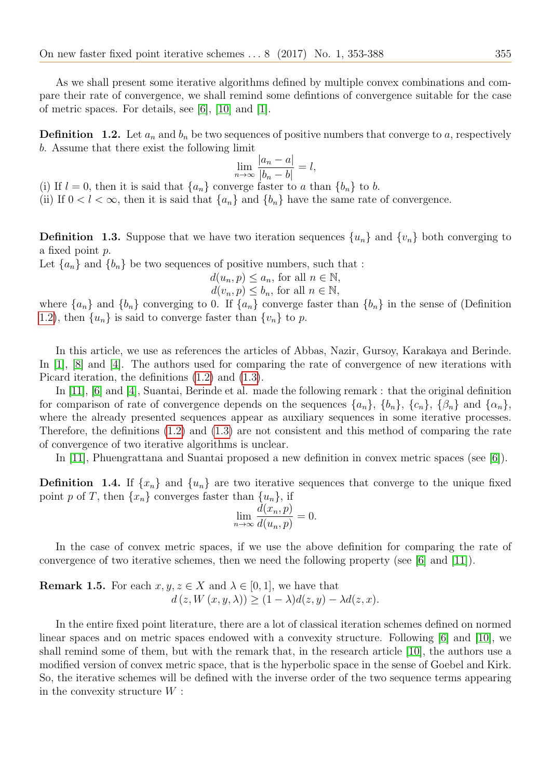As we shall present some iterative algorithms defined by multiple convex combinations and compare their rate of convergence, we shall remind some defintions of convergence suitable for the case of metric spaces. For details, see [\[6\]](#page-35-2), [\[10\]](#page-35-4) and [\[1\]](#page-35-0).

<span id="page-2-0"></span>**Definition** 1.2. Let  $a_n$  and  $b_n$  be two sequences of positive numbers that converge to a, respectively b. Assume that there exist the following limit

$$
\lim_{n \to \infty} \frac{|a_n - a|}{|b_n - b|} = l,
$$

(i) If  $l = 0$ , then it is said that  $\{a_n\}$  converge faster to a than  $\{b_n\}$  to b.

(ii) If  $0 < l < \infty$ , then it is said that  $\{a_n\}$  and  $\{b_n\}$  have the same rate of convergence.

<span id="page-2-1"></span>**Definition 1.3.** Suppose that we have two iteration sequences  $\{u_n\}$  and  $\{v_n\}$  both converging to a fixed point p.

Let  $\{a_n\}$  and  $\{b_n\}$  be two sequences of positive numbers, such that :

$$
d(u_n, p) \le a_n, \text{ for all } n \in \mathbb{N},
$$

 $d(v_n, p) \leq b_n$ , for all  $n \in \mathbb{N}$ ,

where  $\{a_n\}$  and  $\{b_n\}$  converging to 0. If  $\{a_n\}$  converge faster than  $\{b_n\}$  in the sense of (Definition [1.2\)](#page-2-0), then  $\{u_n\}$  is said to converge faster than  $\{v_n\}$  to p.

In this article, we use as references the articles of Abbas, Nazir, Gursoy, Karakaya and Berinde. In [\[1\]](#page-35-0), [\[8\]](#page-35-3) and [\[4\]](#page-35-1). The authors used for comparing the rate of convergence of new iterations with Picard iteration, the definitions [\(1.2\)](#page-2-0) and [\(1.3\)](#page-2-1).

In [\[11\]](#page-35-12), [\[6\]](#page-35-2) and [\[4\]](#page-35-1), Suantai, Berinde et al. made the following remark : that the original definition for comparison of rate of convergence depends on the sequences  $\{a_n\}$ ,  $\{b_n\}$ ,  $\{c_n\}$ ,  $\{\beta_n\}$  and  $\{\alpha_n\}$ , where the already presented sequences appear as auxiliary sequences in some iterative processes. Therefore, the definitions [\(1.2\)](#page-2-0) and [\(1.3\)](#page-2-1) are not consistent and this method of comparing the rate of convergence of two iterative algorithms is unclear.

In [\[11\]](#page-35-12), Phuengrattana and Suantai proposed a new definition in convex metric spaces (see [\[6\]](#page-35-2)).

**Definition 1.4.** If  $\{x_n\}$  and  $\{u_n\}$  are two iterative sequences that converge to the unique fixed point p of T, then  $\{x_n\}$  converges faster than  $\{u_n\}$ , if

$$
\lim_{n \to \infty} \frac{\widetilde{d}(x_n, p)}{d(u_n, p)} = 0.
$$

In the case of convex metric spaces, if we use the above definition for comparing the rate of convergence of two iterative schemes, then we need the following property (see  $|6|$  and  $|11|$ ).

**Remark 1.5.** For each  $x, y, z \in X$  and  $\lambda \in [0, 1]$ , we have that  $d(z, W(x, y, \lambda)) \geq (1 - \lambda)d(z, y) - \lambda d(z, x).$ 

In the entire fixed point literature, there are a lot of classical iteration schemes defined on normed linear spaces and on metric spaces endowed with a convexity structure. Following [\[6\]](#page-35-2) and [\[10\]](#page-35-4), we shall remind some of them, but with the remark that, in the research article [\[10\]](#page-35-4), the authors use a modified version of convex metric space, that is the hyperbolic space in the sense of Goebel and Kirk. So, the iterative schemes will be defined with the inverse order of the two sequence terms appearing in the convexity structure  $W$ :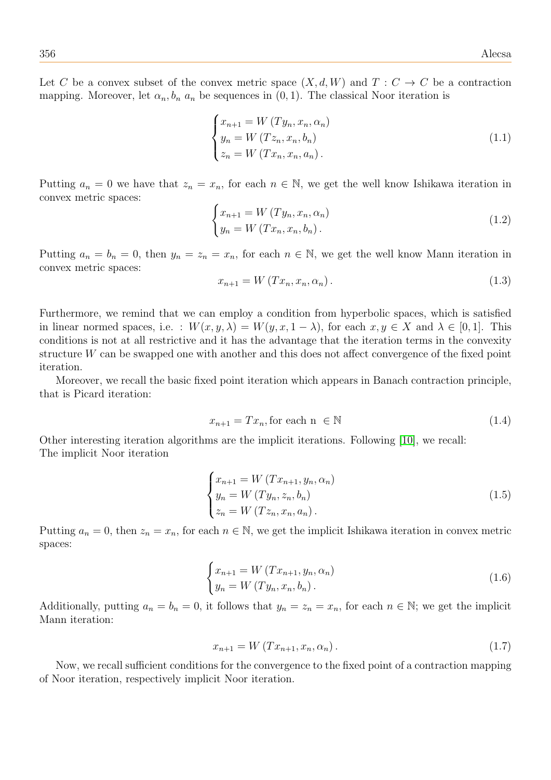Let C be a convex subset of the convex metric space  $(X, d, W)$  and  $T : C \to C$  be a contraction mapping. Moreover, let  $\alpha_n, b_n$  a<sub>n</sub> be sequences in  $(0, 1)$ . The classical Noor iteration is

<span id="page-3-0"></span>
$$
\begin{cases}\n x_{n+1} = W(Ty_n, x_n, \alpha_n) \\
 y_n = W(Tz_n, x_n, b_n) \\
 z_n = W(Tx_n, x_n, a_n).\n\end{cases}
$$
\n(1.1)

Putting  $a_n = 0$  we have that  $z_n = x_n$ , for each  $n \in \mathbb{N}$ , we get the well know Ishikawa iteration in convex metric spaces:

<span id="page-3-4"></span>
$$
\begin{cases}\nx_{n+1} = W(Ty_n, x_n, \alpha_n) \\
y_n = W(Tx_n, x_n, b_n).\n\end{cases} \tag{1.2}
$$

Putting  $a_n = b_n = 0$ , then  $y_n = z_n = x_n$ , for each  $n \in \mathbb{N}$ , we get the well know Mann iteration in convex metric spaces:

<span id="page-3-3"></span>
$$
x_{n+1} = W(Tx_n, x_n, \alpha_n). \tag{1.3}
$$

Furthermore, we remind that we can employ a condition from hyperbolic spaces, which is satisfied in linear normed spaces, i.e. :  $W(x, y, \lambda) = W(y, x, 1 - \lambda)$ , for each  $x, y \in X$  and  $\lambda \in [0, 1]$ . This conditions is not at all restrictive and it has the advantage that the iteration terms in the convexity structure W can be swapped one with another and this does not affect convergence of the fixed point iteration.

Moreover, we recall the basic fixed point iteration which appears in Banach contraction principle, that is Picard iteration:

<span id="page-3-2"></span>
$$
x_{n+1} = Tx_n, \text{for each } n \in \mathbb{N} \tag{1.4}
$$

Other interesting iteration algorithms are the implicit iterations. Following [\[10\]](#page-35-4), we recall: The implicit Noor iteration

<span id="page-3-1"></span>
$$
\begin{cases}\n x_{n+1} = W (Tx_{n+1}, y_n, \alpha_n) \\
 y_n = W (Ty_n, z_n, b_n) \\
 z_n = W (Tz_n, x_n, a_n).\n\end{cases}
$$
\n(1.5)

Putting  $a_n = 0$ , then  $z_n = x_n$ , for each  $n \in \mathbb{N}$ , we get the implicit Ishikawa iteration in convex metric spaces:

<span id="page-3-5"></span>
$$
\begin{cases}\n x_{n+1} = W(T x_{n+1}, y_n, \alpha_n) \\
 y_n = W(T y_n, x_n, b_n).\n\end{cases}
$$
\n(1.6)

Additionally, putting  $a_n = b_n = 0$ , it follows that  $y_n = z_n = x_n$ , for each  $n \in \mathbb{N}$ ; we get the implicit Mann iteration:

$$
x_{n+1} = W(Tx_{n+1}, x_n, \alpha_n).
$$
 (1.7)

Now, we recall sufficient conditions for the convergence to the fixed point of a contraction mapping of Noor iteration, respectively implicit Noor iteration.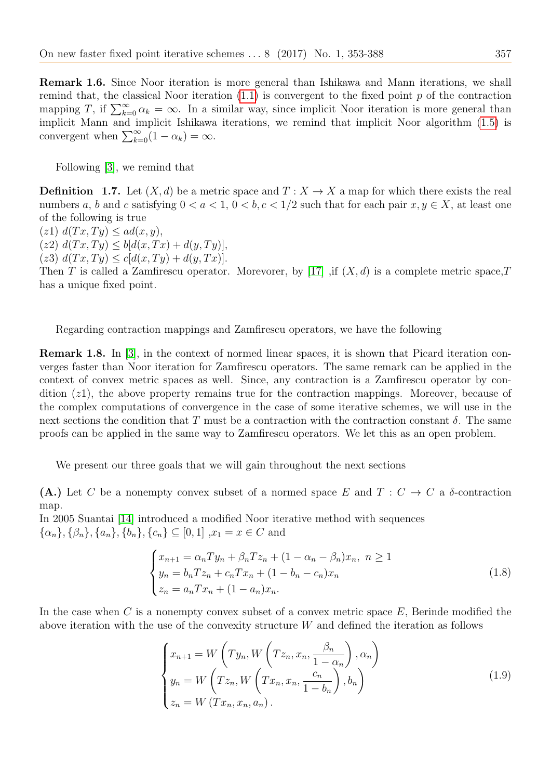Remark 1.6. Since Noor iteration is more general than Ishikawa and Mann iterations, we shall remind that, the classical Noor iteration  $(1.1)$  is convergent to the fixed point p of the contraction mapping T, if  $\sum_{k=0}^{\infty} \alpha_k = \infty$ . In a similar way, since implicit Noor iteration is more general than implicit Mann and implicit Ishikawa iterations, we remind that implicit Noor algorithm [\(1.5\)](#page-3-1) is convergent when  $\sum_{k=0}^{\infty} (1 - \alpha_k) = \infty$ .

Following [\[3\]](#page-35-13), we remind that

**Definition** 1.7. Let  $(X, d)$  be a metric space and  $T : X \to X$  a map for which there exists the real numbers a, b and c satisfying  $0 < a < 1$ ,  $0 < b, c < 1/2$  such that for each pair  $x, y \in X$ , at least one of the following is true

 $(z1) d(Tx, Ty) \leq ad(x, y),$ 

 $(z2) d(Tx, Ty) \leq b[d(x, Tx) + d(y, Ty)],$ 

(z3)  $d(Tx, Ty) \leq c[d(x, Ty) + d(y, Tx)].$ 

Then T is called a Zamfirescu operator. Morevorer, by [\[17\]](#page-35-14) , if  $(X, d)$  is a complete metric space, T has a unique fixed point.

Regarding contraction mappings and Zamfirescu operators, we have the following

Remark 1.8. In [\[3\]](#page-35-13), in the context of normed linear spaces, it is shown that Picard iteration converges faster than Noor iteration for Zamfirescu operators. The same remark can be applied in the context of convex metric spaces as well. Since, any contraction is a Zamfirescu operator by condition (z1), the above property remains true for the contraction mappings. Moreover, because of the complex computations of convergence in the case of some iterative schemes, we will use in the next sections the condition that T must be a contraction with the contraction constant δ. The same proofs can be applied in the same way to Zamfirescu operators. We let this as an open problem.

We present our three goals that we will gain throughout the next sections

(A.) Let C be a nonempty convex subset of a normed space E and  $T: C \to C$  a  $\delta$ -contraction map.

In 2005 Suantai [\[14\]](#page-35-5) introduced a modified Noor iterative method with sequences  $\{\alpha_n\}, \{\beta_n\}, \{a_n\}, \{b_n\}, \{c_n\} \subseteq [0, 1], x_1 = x \in C$  and

$$
\begin{cases}\n x_{n+1} = \alpha_n T y_n + \beta_n T z_n + (1 - \alpha_n - \beta_n) x_n, \ n \ge 1 \\
 y_n = b_n T z_n + c_n T x_n + (1 - b_n - c_n) x_n \\
 z_n = a_n T x_n + (1 - a_n) x_n.\n\end{cases} \tag{1.8}
$$

In the case when C is a nonempty convex subset of a convex metric space  $E$ , Berinde modified the above iteration with the use of the convexity structure W and defined the iteration as follows

<span id="page-4-0"></span>
$$
\begin{cases}\nx_{n+1} = W\left(Ty_n, W\left(Tz_n, x_n, \frac{\beta_n}{1 - \alpha_n}\right), \alpha_n\right) \\
y_n = W\left(Tz_n, W\left(Tx_n, x_n, \frac{c_n}{1 - b_n}\right), b_n\right) \\
z_n = W\left(Tx_n, x_n, a_n\right).\n\end{cases} \tag{1.9}
$$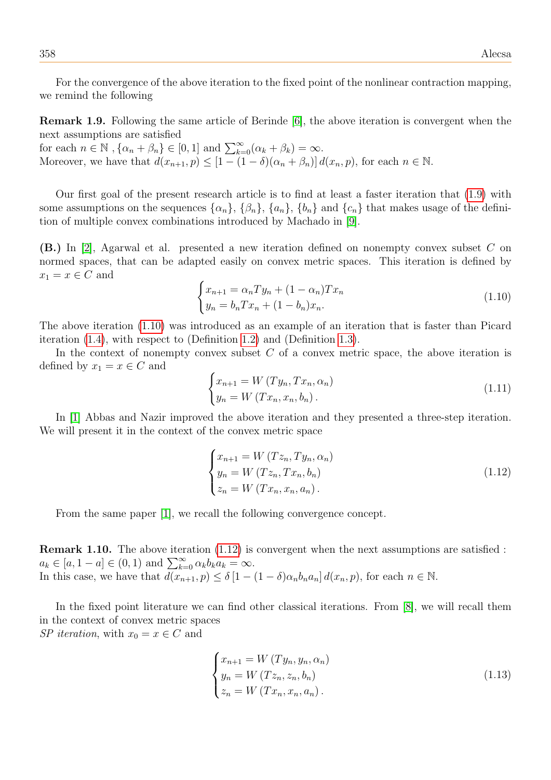For the convergence of the above iteration to the fixed point of the nonlinear contraction mapping, we remind the following

Remark 1.9. Following the same article of Berinde [\[6\]](#page-35-2), the above iteration is convergent when the next assumptions are satisfied

for each  $n \in \mathbb{N}$ ,  $\{\alpha_n + \beta_n\} \in [0,1]$  and  $\sum_{k=0}^{\infty} (\alpha_k + \beta_k) = \infty$ . Moreover, we have that  $d(x_{n+1}, p) \leq [1 - (1 - \delta)(\alpha_n + \beta_n)] d(x_n, p)$ , for each  $n \in \mathbb{N}$ .

Our first goal of the present research article is to find at least a faster iteration that [\(1.9\)](#page-4-0) with some assumptions on the sequences  $\{\alpha_n\}$ ,  $\{\beta_n\}$ ,  $\{\alpha_n\}$ ,  $\{b_n\}$  and  $\{c_n\}$  that makes usage of the definition of multiple convex combinations introduced by Machado in [\[9\]](#page-35-11).

(B.) In [\[2\]](#page-35-15), Agarwal et al. presented a new iteration defined on nonempty convex subset C on normed spaces, that can be adapted easily on convex metric spaces. This iteration is defined by  $x_1 = x \in C$  and

<span id="page-5-0"></span>
$$
\begin{cases} x_{n+1} = \alpha_n T y_n + (1 - \alpha_n) T x_n \\ y_n = b_n T x_n + (1 - b_n) x_n. \end{cases}
$$
\n(1.10)

The above iteration [\(1.10\)](#page-5-0) was introduced as an example of an iteration that is faster than Picard iteration [\(1.4\)](#page-3-2), with respect to (Definition [1.2\)](#page-2-0) and (Definition [1.3\)](#page-2-1).

In the context of nonempty convex subset  $C$  of a convex metric space, the above iteration is defined by  $x_1 = x \in C$  and

<span id="page-5-3"></span>
$$
\begin{cases}\n x_{n+1} = W(Ty_n, Tx_n, \alpha_n) \\
 y_n = W(Tx_n, x_n, b_n).\n\end{cases}
$$
\n(1.11)

In [\[1\]](#page-35-0) Abbas and Nazir improved the above iteration and they presented a three-step iteration. We will present it in the context of the convex metric space

<span id="page-5-1"></span>
$$
\begin{cases}\n x_{n+1} = W(Tz_n, Ty_n, \alpha_n) \\
 y_n = W(Tz_n, Tx_n, b_n) \\
 z_n = W(Tx_n, x_n, a_n).\n\end{cases}
$$
\n(1.12)

From the same paper [\[1\]](#page-35-0), we recall the following convergence concept.

Remark 1.10. The above iteration [\(1.12\)](#page-5-1) is convergent when the next assumptions are satisfied :  $a_k \in [a, 1 - a] \in (0, 1) \text{ and } \sum_{k=0}^{\infty} \alpha_k b_k a_k = \infty.$ In this case, we have that  $d(x_{n+1}, p) \leq \delta [1 - (1 - \delta)\alpha_n b_n a_n] d(x_n, p)$ , for each  $n \in \mathbb{N}$ .

In the fixed point literature we can find other classical iterations. From [\[8\]](#page-35-3), we will recall them in the context of convex metric spaces SP iteration, with  $x_0 = x \in C$  and

<span id="page-5-2"></span>
$$
\begin{cases}\n x_{n+1} = W(Ty_n, y_n, \alpha_n) \\
 y_n = W(Tz_n, z_n, b_n) \\
 z_n = W(Tx_n, x_n, a_n).\n\end{cases}
$$
\n(1.13)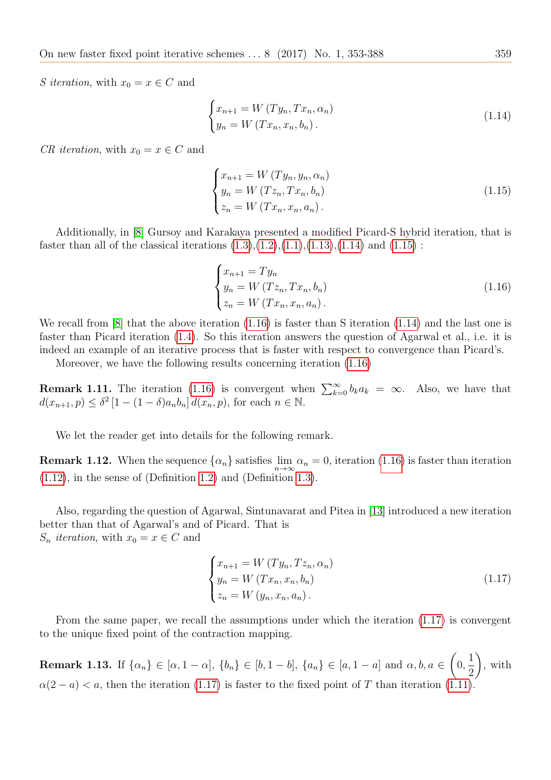S iteration, with  $x_0 = x \in C$  and

<span id="page-6-0"></span>
$$
\begin{cases}\nx_{n+1} = W(Ty_n, Tx_n, \alpha_n) \\
y_n = W(Tx_n, x_n, b_n).\n\end{cases} \tag{1.14}
$$

CR iteration, with  $x_0 = x \in C$  and

<span id="page-6-1"></span>
$$
\begin{cases}\n x_{n+1} = W(Ty_n, y_n, \alpha_n) \\
 y_n = W(Tz_n, Tx_n, b_n) \\
 z_n = W(Tx_n, x_n, a_n).\n\end{cases}
$$
\n(1.15)

Additionally, in [\[8\]](#page-35-3) Gursoy and Karakaya presented a modified Picard-S hybrid iteration, that is faster than all of the classical iterations  $(1.3),(1.2),(1.1),(1.13),(1.14)$  $(1.3),(1.2),(1.1),(1.13),(1.14)$  $(1.3),(1.2),(1.1),(1.13),(1.14)$  $(1.3),(1.2),(1.1),(1.13),(1.14)$  $(1.3),(1.2),(1.1),(1.13),(1.14)$  $(1.3),(1.2),(1.1),(1.13),(1.14)$  $(1.3),(1.2),(1.1),(1.13),(1.14)$  $(1.3),(1.2),(1.1),(1.13),(1.14)$  $(1.3),(1.2),(1.1),(1.13),(1.14)$  and  $(1.15)$ :

<span id="page-6-2"></span>
$$
\begin{cases}\n x_{n+1} = Ty_n \\
 y_n = W (Tz_n, Tx_n, b_n) \\
 z_n = W (Tx_n, x_n, a_n).\n\end{cases}
$$
\n(1.16)

We recall from [\[8\]](#page-35-3) that the above iteration [\(1.16\)](#page-6-2) is faster than S iteration [\(1.14\)](#page-6-0) and the last one is faster than Picard iteration [\(1.4\)](#page-3-2). So this iteration answers the question of Agarwal et al., i.e. it is indeed an example of an iterative process that is faster with respect to convergence than Picard's.

Moreover, we have the following results concerning iteration [\(1.16\)](#page-6-2)

**Remark 1.11.** The iteration [\(1.16\)](#page-6-2) is convergent when  $\sum_{k=0}^{\infty} b_k a_k = \infty$ . Also, we have that  $d(x_{n+1}, p) \leq \delta^2 [1 - (1 - \delta)a_n b_n] d(x_n, p)$ , for each  $n \in \mathbb{N}$ .

We let the reader get into details for the following remark.

**Remark 1.12.** When the sequence  $\{\alpha_n\}$  satisfies  $\lim_{n\to\infty} \alpha_n = 0$ , iteration [\(1.16\)](#page-6-2) is faster than iteration [\(1.12\)](#page-5-1), in the sense of (Definition [1.2\)](#page-2-0) and (Definition [1.3\)](#page-2-1).

Also, regarding the question of Agarwal, Sintunavarat and Pitea in [\[13\]](#page-35-16) introduced a new iteration better than that of Agarwal's and of Picard. That is  $S_n$  *iteration*, with  $x_0 = x \in C$  and

<span id="page-6-3"></span>
$$
\begin{cases}\n x_{n+1} = W(Ty_n, Tz_n, \alpha_n) \\
 y_n = W(Tx_n, x_n, b_n) \\
 z_n = W(y_n, x_n, a_n).\n\end{cases}
$$
\n(1.17)

From the same paper, we recall the assumptions under which the iteration [\(1.17\)](#page-6-3) is convergent to the unique fixed point of the contraction mapping.

**Remark 1.13.** If  $\{\alpha_n\} \in [\alpha, 1 - \alpha], \ \{b_n\} \in [b, 1 - b], \ \{a_n\} \in [a, 1 - a]$  and  $\alpha, b, a \in$  $\sqrt{ }$ 0, 1 2  $\setminus$ , with  $\alpha(2 - a) < a$ , then the iteration [\(1.17\)](#page-6-3) is faster to the fixed point of T than iteration [\(1.11\)](#page-5-3).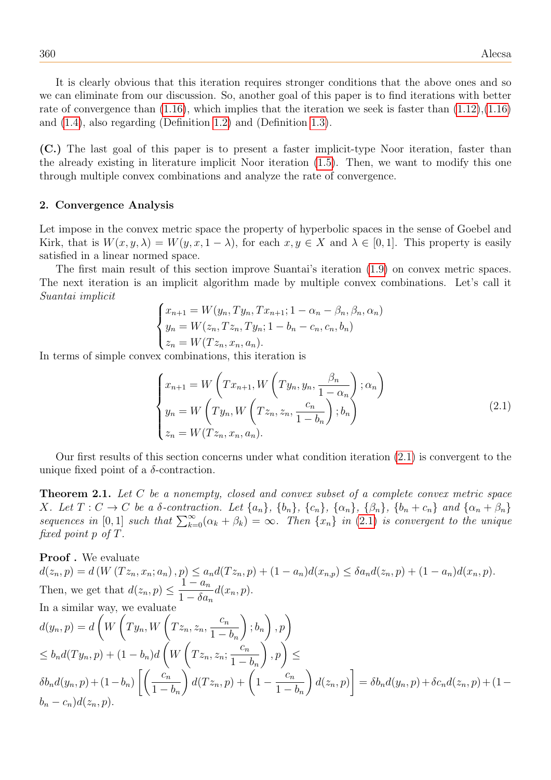It is clearly obvious that this iteration requires stronger conditions that the above ones and so we can eliminate from our discussion. So, another goal of this paper is to find iterations with better rate of convergence than  $(1.16)$ , which implies that the iteration we seek is faster than  $(1.12),(1.16)$  $(1.12),(1.16)$ and [\(1.4\)](#page-3-2), also regarding (Definition [1.2\)](#page-2-0) and (Definition [1.3\)](#page-2-1).

(C.) The last goal of this paper is to present a faster implicit-type Noor iteration, faster than the already existing in literature implicit Noor iteration [\(1.5\)](#page-3-1). Then, we want to modify this one through multiple convex combinations and analyze the rate of convergence.

## 2. Convergence Analysis

Let impose in the convex metric space the property of hyperbolic spaces in the sense of Goebel and Kirk, that is  $W(x, y, \lambda) = W(y, x, 1 - \lambda)$ , for each  $x, y \in X$  and  $\lambda \in [0, 1]$ . This property is easily satisfied in a linear normed space.

The first main result of this section improve Suantai's iteration [\(1.9\)](#page-4-0) on convex metric spaces. The next iteration is an implicit algorithm made by multiple convex combinations. Let's call it Suantai implicit

$$
\begin{cases} x_{n+1} = W(y_n, Ty_n, Tx_{n+1}; 1 - \alpha_n - \beta_n, \beta_n, \alpha_n) \\ y_n = W(z_n, Tx_n, Ty_n; 1 - b_n - c_n, c_n, b_n) \\ z_n = W(Tz_n, x_n, a_n). \end{cases}
$$

In terms of simple convex combinations, this iteration is

<span id="page-7-0"></span>
$$
\begin{cases}\nx_{n+1} = W\left(Tx_{n+1}, W\left(Ty_n, y_n, \frac{\beta_n}{1 - \alpha_n}\right); \alpha_n\right) \\
y_n = W\left(Ty_n, W\left(Tz_n, z_n, \frac{c_n}{1 - b_n}\right); b_n\right) \\
z_n = W(Tz_n, x_n, a_n).\n\end{cases} \tag{2.1}
$$

Our first results of this section concerns under what condition iteration [\(2.1\)](#page-7-0) is convergent to the unique fixed point of a  $\delta$ -contraction.

**Theorem 2.1.** Let C be a nonempty, closed and convex subset of a complete convex metric space X. Let  $T: C \to C$  be a  $\delta$ -contraction. Let  $\{a_n\}$ ,  $\{b_n\}$ ,  $\{c_n\}$ ,  $\{\alpha_n\}$ ,  $\{\beta_n\}$ ,  $\{b_n+c_n\}$  and  $\{\alpha_n+\beta_n\}$ sequences in [0, 1] such that  $\sum_{k=0}^{\infty} (\alpha_k + \beta_k) = \infty$ . Then  $\{x_n\}$  in (2.[1\)](#page-7-0) is convergent to the unique fixed point p of T.

## Proof. We evaluate

$$
d(z_n, p) = d(W(Tz_n, x_n; a_n), p) \le a_n d(Tz_n, p) + (1 - a_n) d(x_n, p) \le \delta a_n d(z_n, p) + (1 - a_n) d(x_n, p).
$$
  
Then, we get that  $d(z_n, p) \le \frac{1 - a_n}{1 - \delta a_n} d(x_n, p).$   
In a similar way, we evaluate  

$$
d(y_n, p) = d\left(W\left(Ty_n, W\left(Tz_n, z_n, \frac{c_n}{1 - b_n}\right); b_n\right), p\right)
$$

$$
\le b_n d(Ty_n, p) + (1 - b_n) d\left(W\left(Tz_n, z_n; \frac{c_n}{1 - b_n}\right), p\right) \le
$$

$$
\delta b_n d(y_n, p) + (1 - b_n) \left[\left(\frac{c_n}{1 - b_n}\right) d(Tz_n, p) + \left(1 - \frac{c_n}{1 - b_n}\right) d(z_n, p)\right] = \delta b_n d(y_n, p) + \delta c_n d(z_n, p) + (1 - b_n - c_n) d(z_n, p).
$$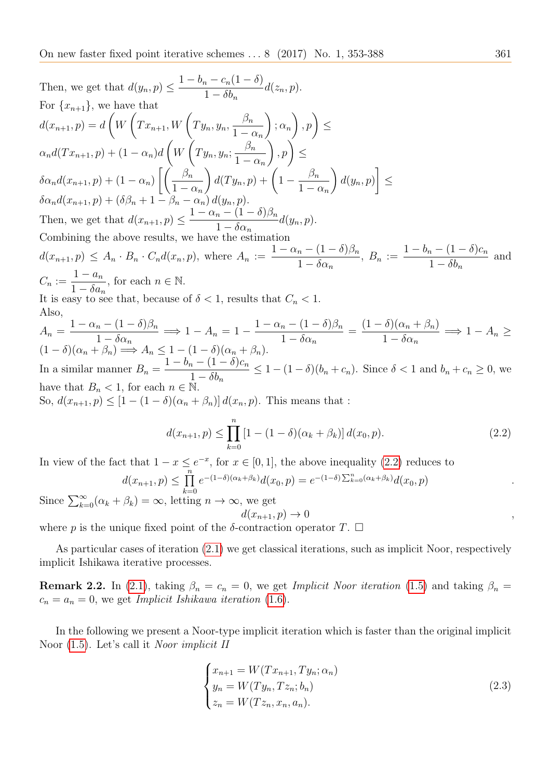Then, we get that 
$$
d(y_n, p) \leq \frac{1 - b_n - c_n(1 - \delta)}{1 - \delta b_n} d(z_n, p).
$$
  
\nFor  $\{x_{n+1}\}$ , we have that  
\n $d(x_{n+1}, p) = d\left(W\left(Tx_{n+1}, W\left(Ty_n, y_n, \frac{\beta_n}{1 - \alpha_n}\right); \alpha_n\right), p\right) \leq$   
\n $\alpha_n d(Tx_{n+1}, p) + (1 - \alpha_n) d\left(W\left(Ty_n, y_n, \frac{\beta_n}{1 - \alpha_n}\right), p\right) \leq$   
\n $\delta \alpha_n d(x_{n+1}, p) + (1 - \alpha_n) \left[\left(\frac{\beta_n}{1 - \alpha_n}\right) d(Ty_n, p) + \left(1 - \frac{\beta_n}{1 - \alpha_n}\right) d(y_n, p)\right] \leq$   
\nThen, we get that  $d(x_{n+1}, p) \leq \frac{1 - \alpha_n - (1 - \delta)\beta_n}{1 - \delta \alpha_n} d(y_n, p).$   
\nCombining the above results, we have the estimation  
\n $d(x_{n+1}, p) \leq A_n \cdot B_n \cdot C_n d(x_n, p)$ , where  $A_n := \frac{1 - \alpha_n - (1 - \delta)\beta_n}{1 - \delta \alpha_n}$ ,  $B_n := \frac{1 - b_n - (1 - \delta)c_n}{1 - \delta b_n}$  and  
\n $C_n := \frac{1 - a_n}{1 - \delta a_n}$ , for each  $n \in \mathbb{N}$ .  
\nIt is easy to see that, because of  $\delta < 1$ , results that  $C_n < 1$ .  
\nAlso,  
\n $A_n = \frac{1 - \alpha_n - (1 - \delta)\beta_n}{1 - \delta \alpha_n} \implies 1 - A_n = 1 - \frac{1 - \alpha_n - (1 - \delta)\beta_n}{1 - \delta \alpha_n} = \frac{(1 - \delta)(\alpha_n + \beta_n)}{1 - \delta \alpha_n} \implies 1 - A_n \geq$   
\n $(1 - \delta)(\alpha_n + \beta_n) \implies A_n \leq 1 - (1 - \delta)(\alpha_n + \beta_n)$ .  
\nIn a similar manner  $B_n = \frac{1 - b_n - (1 - \delta)c_n}{1 - \delta b_n} \leq 1 - (1 - \delta)(b_n + c_n)$ . Since  $\delta < 1$  and  $b_n$ 

<span id="page-8-0"></span>
$$
d(x_{n+1}, p) \leq \prod_{k=0}^{n} e^{-(1-\delta)(\alpha_k + \beta_k)} d(x_0, p) = e^{-(1-\delta)\sum_{k=0}^{n} (\alpha_k + \beta_k)} d(x_0, p)
$$

Since  $\sum_{k=0}^{\infty} (\alpha_k + \beta_k) = \infty$ , letting  $n \to \infty$ , we get  $d(x_{n+1}, p) \rightarrow 0$ ,

where p is the unique fixed point of the  $\delta$ -contraction operator T.  $\Box$ 

As particular cases of iteration [\(2.1\)](#page-7-0) we get classical iterations, such as implicit Noor, respectively implicit Ishikawa iterative processes.

**Remark 2.2.** In [\(2.1\)](#page-7-0), taking  $\beta_n = c_n = 0$ , we get *Implicit Noor iteration* [\(1.5\)](#page-3-1) and taking  $\beta_n =$  $c_n = a_n = 0$ , we get *Implicit Ishikawa iteration* [\(1.6\)](#page-3-5).

In the following we present a Noor-type implicit iteration which is faster than the original implicit Noor [\(1.5\)](#page-3-1). Let's call it Noor implicit II

<span id="page-8-1"></span>
$$
\begin{cases}\n x_{n+1} = W(T x_{n+1}, T y_n; \alpha_n) \\
 y_n = W(T y_n, T z_n; b_n) \\
 z_n = W(T z_n, x_n, a_n).\n\end{cases}
$$
\n(2.3)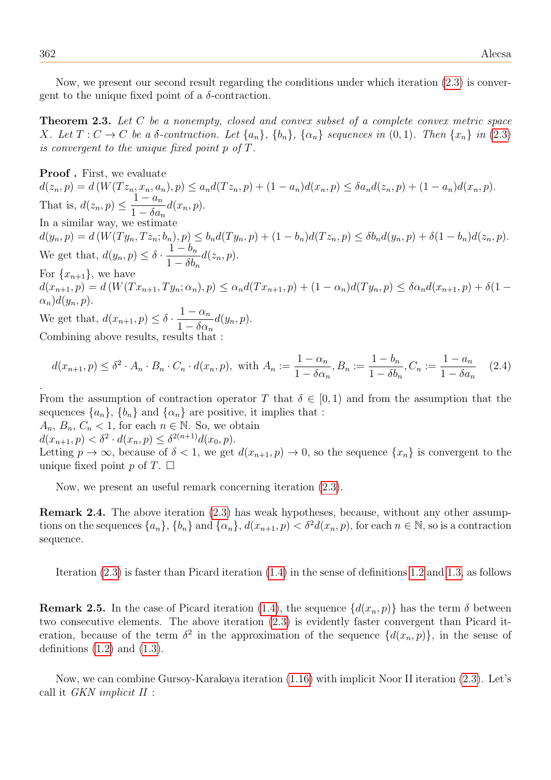Now, we present our second result regarding the conditions under which iteration [\(2.3\)](#page-8-1) is convergent to the unique fixed point of a  $\delta$ -contraction.

Theorem 2.3. Let C be a nonempty, closed and convex subset of a complete convex metric space X. Let  $T: C \to C$  be a  $\delta$ -contraction. Let  $\{a_n\}$ ,  $\{b_n\}$ ,  $\{\alpha_n\}$  sequences in  $(0, 1)$ . Then  $\{x_n\}$  in  $(2.3)$  $(2.3)$ is convergent to the unique fixed point  $p \text{ of } T$ .

Proof . First, we evaluate  $d(z_n, p) = d(W(Tz_n, x_n, a_n), p) \leq a_n d(Tz_n, p) + (1 - a_n)d(x_n, p) \leq \delta a_n d(z_n, p) + (1 - a_n)d(x_n, p).$ That is,  $d(z_n, p) \leq$  $1 - a_n$  $1 - \delta a_n$  $d(x_n, p).$ In a similar way, we estimate  $d(y_n, p) = d(W(T y_n, T z_n; b_n), p) \leq b_n d(T y_n, p) + (1 - b_n) d(T z_n, p) \leq \delta b_n d(y_n, p) + \delta (1 - b_n) d(z_n, p).$ We get that,  $d(y_n, p) \leq \delta$ .  $1-b_n$  $1 - \delta b_n$  $d(z_n, p).$ For  $\{x_{n+1}\}\text{, we have}$  $d(x_{n+1}, p) = d(W(T x_{n+1}, T y_n; \alpha_n), p) \leq \alpha_n d(T x_{n+1}, p) + (1 - \alpha_n) d(T y_n, p) \leq \delta \alpha_n d(x_{n+1}, p) + \delta (1 - \delta \alpha_n) d(T y_n, p)$  $\alpha_n)d(y_n,p).$ We get that,  $d(x_{n+1}, p) \leq \delta$ .  $1 - \alpha_n$  $1 - \delta \alpha_n$  $d(y_n, p).$ Combining above results, results that :

$$
d(x_{n+1}, p) \le \delta^2 \cdot A_n \cdot B_n \cdot C_n \cdot d(x_n, p), \text{ with } A_n := \frac{1 - \alpha_n}{1 - \delta \alpha_n}, B_n := \frac{1 - b_n}{1 - \delta b_n}, C_n := \frac{1 - a_n}{1 - \delta a_n} \quad (2.4)
$$

From the assumption of contraction operator T that  $\delta \in [0,1)$  and from the assumption that the sequences  $\{a_n\}$ ,  $\{b_n\}$  and  $\{\alpha_n\}$  are positive, it implies that :

 $A_n, B_n, C_n < 1$ , for each  $n \in \mathbb{N}$ . So, we obtain  $d(x_{n+1}, p) < \delta^2 \cdot d(x_n, p) \leq \delta^{2(n+1)} d(x_0, p).$ Letting  $p \to \infty$ , because of  $\delta < 1$ , we get  $d(x_{n+1}, p) \to 0$ , so the sequence  $\{x_n\}$  is convergent to the unique fixed point p of  $T$ .  $\Box$ 

Now, we present an useful remark concerning iteration [\(2.3\)](#page-8-1).

Remark 2.4. The above iteration [\(2.3\)](#page-8-1) has weak hypotheses, because, without any other assumptions on the sequences  $\{a_n\}$ ,  $\{b_n\}$  and  $\{\alpha_n\}$ ,  $d(x_{n+1}, p) < \delta^2 d(x_n, p)$ , for each  $n \in \mathbb{N}$ , so is a contraction sequence.

<span id="page-9-0"></span>Iteration [\(2.3\)](#page-8-1) is faster than Picard iteration [\(1.4\)](#page-3-2) in the sense of definitions [1.2](#page-2-0) and [1.3,](#page-2-1) as follows

**Remark 2.5.** In the case of Picard iteration [\(1.4\)](#page-3-2), the sequence  $\{d(x_n, p)\}\)$  has the term  $\delta$  between two consecutive elements. The above iteration [\(2.3\)](#page-8-1) is evidently faster convergent than Picard iteration, because of the term  $\delta^2$  in the approximation of the sequence  $\{d(x_n, p)\}\$ , in the sense of definitions  $(1.2)$  and  $(1.3)$ .

Now, we can combine Gursoy-Karakaya iteration [\(1.16\)](#page-6-2) with implicit Noor II iteration [\(2.3\)](#page-8-1). Let's call it GKN implicit II :

.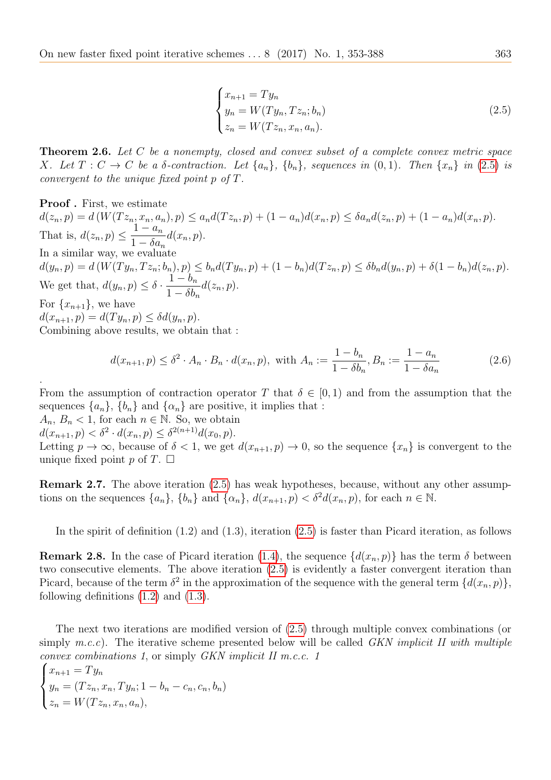<span id="page-10-0"></span>
$$
\begin{cases}\n x_{n+1} = Ty_n \\
 y_n = W(Ty_n, Tz_n; b_n) \\
 z_n = W(Tz_n, x_n, a_n).\n\end{cases}
$$
\n(2.5)

Theorem 2.6. Let C be a nonempty, closed and convex subset of a complete convex metric space X. Let  $T: C \to C$  be a  $\delta$ -contraction. Let  $\{a_n\}$ ,  $\{b_n\}$ , sequences in  $(0,1)$ . Then  $\{x_n\}$  in [\(2](#page-10-0).5) is convergent to the unique fixed point p of T.

Proof . First, we estimate  $d(z_n, p) = d(W(Tz_n, x_n, a_n), p) \leq a_n d(Tz_n, p) + (1 - a_n)d(x_n, p) \leq \delta a_n d(z_n, p) + (1 - a_n)d(x_n, p).$ That is,  $d(z_n, p) \leq$  $1 - a_n$  $1 - \delta a_n$  $d(x_n, p).$ In a similar way, we evaluate  $d(y_n, p) = d(W(T y_n, T z_n; b_n), p) \leq b_n d(T y_n, p) + (1 - b_n) d(T z_n, p) \leq \delta b_n d(y_n, p) + \delta (1 - b_n) d(z_n, p).$ We get that,  $d(y_n, p) \leq \delta$ .  $1-b_n$  $1 - \delta b_n$  $d(z_n, p).$ For  $\{x_{n+1}\}\,$ , we have  $d(x_{n+1}, p) = d(T y_n, p) \leq \delta d(y_n, p).$ Combining above results, we obtain that :

$$
d(x_{n+1}, p) \le \delta^2 \cdot A_n \cdot B_n \cdot d(x_n, p), \text{ with } A_n := \frac{1 - b_n}{1 - \delta b_n}, B_n := \frac{1 - a_n}{1 - \delta a_n} \tag{2.6}
$$

From the assumption of contraction operator T that  $\delta \in [0,1)$  and from the assumption that the sequences  $\{a_n\}$ ,  $\{b_n\}$  and  $\{\alpha_n\}$  are positive, it implies that :

 $A_n, B_n < 1$ , for each  $n \in \mathbb{N}$ . So, we obtain

 $d(x_{n+1}, p) < \delta^2 \cdot d(x_n, p) \leq \delta^{2(n+1)} d(x_0, p).$ 

.

Letting  $p \to \infty$ , because of  $\delta < 1$ , we get  $d(x_{n+1}, p) \to 0$ , so the sequence  $\{x_n\}$  is convergent to the unique fixed point p of  $T$ .  $\Box$ 

Remark 2.7. The above iteration [\(2.5\)](#page-10-0) has weak hypotheses, because, without any other assumptions on the sequences  $\{a_n\}$ ,  $\{b_n\}$  and  $\{\alpha_n\}$ ,  $d(x_{n+1}, p) < \delta^2 d(x_n, p)$ , for each  $n \in \mathbb{N}$ .

In the spirit of definition (1.2) and (1.3), iteration [\(2.5\)](#page-10-0) is faster than Picard iteration, as follows

<span id="page-10-1"></span>**Remark 2.8.** In the case of Picard iteration [\(1.4\)](#page-3-2), the sequence  $\{d(x_n, p)\}\)$  has the term  $\delta$  between two consecutive elements. The above iteration [\(2.5\)](#page-10-0) is evidently a faster convergent iteration than Picard, because of the term  $\delta^2$  in the approximation of the sequence with the general term  $\{d(x_n, p)\},$ following definitions [\(1.2\)](#page-2-0) and [\(1.3\)](#page-2-1).

The next two iterations are modified version of [\(2.5\)](#page-10-0) through multiple convex combinations (or simply  $m.c.c$ ). The iterative scheme presented below will be called GKN implicit II with multiple convex combinations 1 , or simply GKN implicit II m.c.c. 1

$$
\begin{cases} x_{n+1} = Ty_n \\ y_n = (Tz_n, x_n, Ty_n; 1 - b_n - c_n, c_n, b_n) \\ z_n = W(Tz_n, x_n, a_n), \end{cases}
$$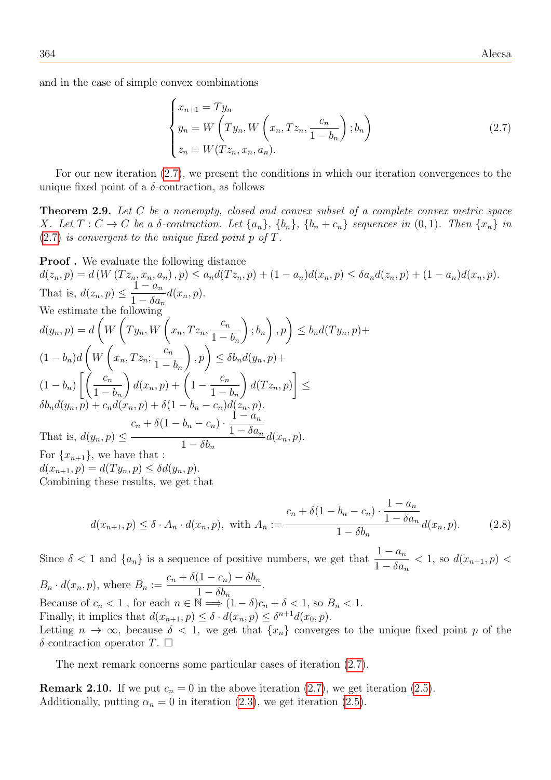and in the case of simple convex combinations

<span id="page-11-0"></span>
$$
\begin{cases}\nx_{n+1} = Ty_n \\
y_n = W\left(Ty_n, W\left(x_n, Tz_n, \frac{c_n}{1 - b_n}\right); b_n\right) \\
z_n = W(Tz_n, x_n, a_n).\n\end{cases}
$$
\n(2.7)

For our new iteration [\(2.7\)](#page-11-0), we present the conditions in which our iteration convergences to the unique fixed point of a  $\delta$ -contraction, as follows

Theorem 2.9. Let C be a nonempty, closed and convex subset of a complete convex metric space X. Let  $T: C \to C$  be a  $\delta$ -contraction. Let  $\{a_n\}$ ,  $\{b_n\}$ ,  $\{b_n+c_n\}$  sequences in  $(0,1)$ . Then  $\{x_n\}$  in  $(2.7)$  $(2.7)$  is convergent to the unique fixed point p of T.

**Proof.** We evaluate the following distance  
\n
$$
d(z_n, p) = d(W(Tz_n, x_n, a_n), p) \le a_n d(Tz_n, p) + (1 - a_n) d(x_n, p) \le \delta a_n d(z_n, p) + (1 - a_n) d(x_n, p).
$$
\nThat is, 
$$
d(z_n, p) \le \frac{1 - a_n}{1 - \delta a_n} d(x_n, p).
$$
\nWe estimate the following  
\n
$$
d(y_n, p) = d\left(W\left(Ty_n, W\left(x_n, Tx_n, \frac{c_n}{1 - b_n}\right); b_n\right), p\right) \le b_n d(Ty_n, p) +
$$
\n
$$
(1 - b_n) d\left(W\left(x_n, Tx_n, \frac{c_n}{1 - b_n}\right), p\right) \le \delta b_n d(y_n, p) +
$$
\n
$$
(1 - b_n) \left[\left(\frac{c_n}{1 - b_n}\right) d(x_n, p) + \left(1 - \frac{c_n}{1 - b_n}\right) d(Tz_n, p)\right] \le
$$
\n
$$
\delta b_n d(y_n, p) + c_n d(x_n, p) + \delta(1 - b_n - c_n) d(z_n, p).
$$
\nThat is, 
$$
d(y_n, p) \le \frac{c_n + \delta(1 - b_n - c_n) \cdot \frac{1 - a_n}{1 - \delta a_n}}{1 - \delta b_n} d(x_n, p).
$$
\nFor 
$$
\{x_{n+1}\},
$$
 we have that:  
\n
$$
d(x_{n+1}, p) = d(Ty_n, p) \le \delta d(y_n, p).
$$
\nCombining these results, we get that

$$
d(x_{n+1}, p) \le \delta \cdot A_n \cdot d(x_n, p), \text{ with } A_n := \frac{c_n + \delta(1 - b_n - c_n) \cdot \frac{1 - a_n}{1 - \delta a_n}}{1 - \delta b_n} d(x_n, p). \tag{2.8}
$$

Since  $\delta$  < 1 and  $\{a_n\}$  is a sequence of positive numbers, we get that  $\frac{1-a_n}{1-\delta_n}$  $1 - \delta a_n$  $< 1$ , so  $d(x_{n+1}, p)$  $B_n \cdot d(x_n, p)$ , where  $B_n :=$  $c_n + \delta(1 - c_n) - \delta b_n$  $1 - \delta b_n$ . Because of  $c_n < 1$ , for each  $n \in \mathbb{N} \Longrightarrow (1 - \delta)c_n + \delta < 1$ , so  $B_n < 1$ . Finally, it implies that  $d(x_{n+1}, p) \leq \delta \cdot d(x_n, p) \leq \delta^{n+1} d(x_0, p)$ . Letting  $n \to \infty$ , because  $\delta < 1$ , we get that  $\{x_n\}$  converges to the unique fixed point p of the δ-contraction operator  $T$ .  $\Box$ 

The next remark concerns some particular cases of iteration [\(2.7\)](#page-11-0).

**Remark 2.10.** If we put  $c_n = 0$  in the above iteration [\(2.7\)](#page-11-0), we get iteration [\(2.5\)](#page-10-0). Additionally, putting  $\alpha_n = 0$  in iteration [\(2.3\)](#page-8-1), we get iteration [\(2.5\)](#page-10-0).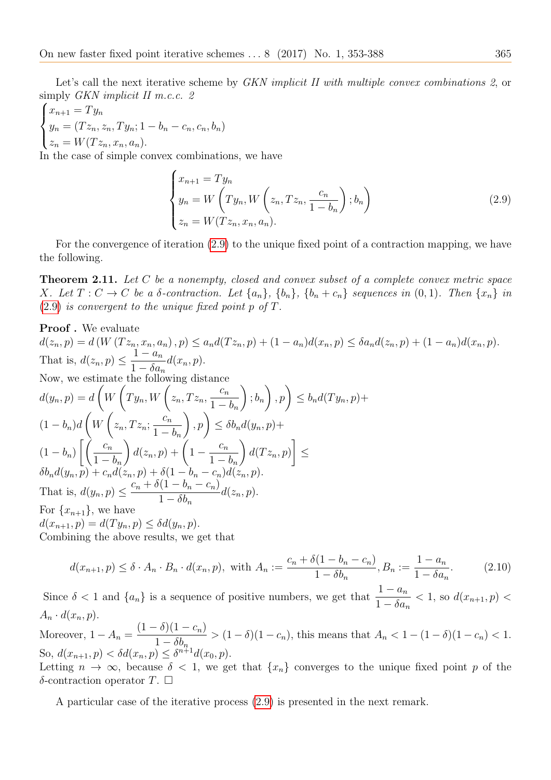$$
\begin{cases} x_{n+1} = Ty_n \\ y_n = (Tz_n, z_n, Ty_n; 1 - b_n - c_n, c_n, b_n) \\ z_n = W(Tz_n, x_n, a_n). \end{cases}
$$

In the case of simple convex combinations, we have

<span id="page-12-0"></span>
$$
\begin{cases}\nx_{n+1} = Ty_n \\
y_n = W\left(Ty_n, W\left(z_n, Tz_n, \frac{c_n}{1 - b_n}\right); b_n\right) \\
z_n = W(Tz_n, x_n, a_n).\n\end{cases}
$$
\n(2.9)

For the convergence of iteration [\(2.9\)](#page-12-0) to the unique fixed point of a contraction mapping, we have the following.

Theorem 2.11. Let C be a nonempty, closed and convex subset of a complete convex metric space X. Let  $T: C \to C$  be a  $\delta$ -contraction. Let  $\{a_n\}$ ,  $\{b_n\}$ ,  $\{b_n+c_n\}$  sequences in  $(0,1)$ . Then  $\{x_n\}$  in  $(2.9)$  $(2.9)$  is convergent to the unique fixed point p of T.

**Proof.** We evaluate  
\n
$$
d(z_n, p) = d(W(Tz_n, x_n, a_n), p) \le a_n d(Tz_n, p) + (1 - a_n) d(x_n, p) \le \delta a_n d(z_n, p) + (1 - a_n) d(x_n, p).
$$
\nThat is,  $d(z_n, p) \le \frac{1 - a_n}{1 - \delta a_n} d(x_n, p).$   
\nNow, we estimate the following distance  
\n
$$
d(y_n, p) = d\left(W\left(Ty_n, W\left(z_n, Tz_n, \frac{c_n}{1 - b_n}\right); b_n\right), p\right) \le b_n d(Ty_n, p) +
$$
\n
$$
(1 - b_n) d\left(W\left(z_n, Tz_n, \frac{c_n}{1 - b_n}\right), p\right) \le \delta b_n d(y_n, p) +
$$
\n
$$
(1 - b_n) \left[\left(\frac{c_n}{1 - b_n}\right) d(z_n, p) + \left(1 - \frac{c_n}{1 - b_n}\right) d(Tz_n, p)\right] \le
$$
\n
$$
\delta b_n d(y_n, p) + c_n d(z_n, p) + \delta (1 - b_n - c_n) d(z_n, p).
$$
\nThat is,  $d(y_n, p) \le \frac{c_n + \delta (1 - b_n - c_n)}{1 - \delta b_n} d(z_n, p).$   
\nFor  $\{x_{n+1}\}$ , we have  
\n
$$
d(x_{n+1}, p) = d(Ty_n, p) \le \delta d(y_n, p).
$$
  
\nCombining the above results, we get that

$$
d(x_{n+1}, p) \le \delta \cdot A_n \cdot B_n \cdot d(x_n, p), \text{ with } A_n := \frac{c_n + \delta(1 - b_n - c_n)}{1 - \delta b_n}, B_n := \frac{1 - a_n}{1 - \delta a_n}.
$$
 (2.10)

Since  $\delta < 1$  and  $\{a_n\}$  is a sequence of positive numbers, we get that  $\frac{1-a_n}{1-\delta_n}$  $1 - \delta a_n$  $< 1$ , so  $d(x_{n+1}, p)$  $A_n \cdot d(x_n, p).$ 

Moreover,  $1 - A_n =$  $(1 - \delta)(1 - c_n)$  $1 - \delta b_n$  $> (1 - \delta)(1 - c_n)$ , this means that  $A_n < 1 - (1 - \delta)(1 - c_n) < 1$ . So,  $d(x_{n+1}, p) < \delta d(x_n, p) \leq \delta^{n+1} d(x_0, p).$ 

Letting  $n \to \infty$ , because  $\delta < 1$ , we get that  $\{x_n\}$  converges to the unique fixed point p of the δ-contraction operator  $T$ .  $\Box$ 

A particular case of the iterative process [\(2.9\)](#page-12-0) is presented in the next remark.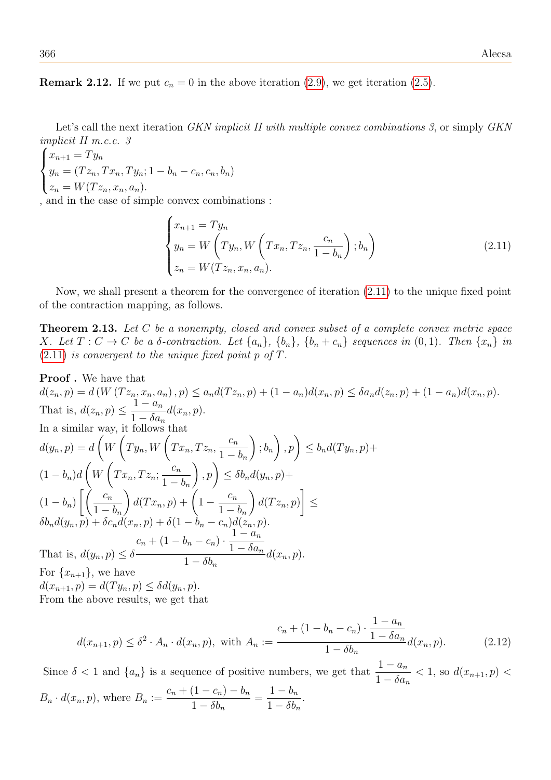**Remark 2.12.** If we put  $c_n = 0$  in the above iteration [\(2.9\)](#page-12-0), we get iteration [\(2.5\)](#page-10-0).

Let's call the next iteration *GKN implicit II with multiple convex combinations 3*, or simply *GKN* implicit II m.c.c. 3

 $\sqrt{ }$  $\int$  $\overline{\mathcal{L}}$  $x_{n+1} = Ty_n$  $y_n = (Tz_n, Tx_n, Ty_n; 1 - b_n - c_n, c_n, b_n)$  $z_n = W(Tz_n, x_n, a_n).$ 

, and in the case of simple convex combinations :

<span id="page-13-0"></span>
$$
\begin{cases}\nx_{n+1} = Ty_n \\
y_n = W\left(Ty_n, W\left(Tx_n, Tz_n, \frac{c_n}{1 - b_n}\right); b_n\right) \\
z_n = W(Tz_n, x_n, a_n).\n\end{cases}
$$
\n(2.11)

Now, we shall present a theorem for the convergence of iteration [\(2.11\)](#page-13-0) to the unique fixed point of the contraction mapping, as follows.

Theorem 2.13. Let C be a nonempty, closed and convex subset of a complete convex metric space X. Let  $T: C \to C$  be a  $\delta$ -contraction. Let  $\{a_n\}$ ,  $\{b_n\}$ ,  $\{b_n+c_n\}$  sequences in  $(0, 1)$ . Then  $\{x_n\}$  in  $(2.11)$  $(2.11)$  is convergent to the unique fixed point p of T.

**Proof.** We have that  
\n
$$
d(z_n, p) = d(W(Tz_n, x_n, a_n), p) \le a_n d(Tz_n, p) + (1 - a_n) d(x_n, p) \le \delta a_n d(z_n, p) + (1 - a_n) d(x_n, p).
$$
\nThat is, 
$$
d(z_n, p) \le \frac{1 - a_n}{1 - \delta a_n} d(x_n, p).
$$
\nIn a similar way, it follows that\n
$$
d(y_n, p) = d\left(W\left(Ty_n, W\left(Tx_n, Tz_n, \frac{c_n}{1 - b_n}\right); b_n\right), p\right) \le b_n d(Ty_n, p) +
$$
\n
$$
(1 - b_n) d\left(W\left(Tx_n, Tz_n; \frac{c_n}{1 - b_n}\right), p\right) \le \delta b_n d(y_n, p) +
$$
\n
$$
(1 - b_n) \left[\left(\frac{c_n}{1 - b_n}\right) d(Tx_n, p) + \left(1 - \frac{c_n}{1 - b_n}\right) d(Tz_n, p)\right] \le
$$
\n
$$
\delta b_n d(y_n, p) + \delta c_n d(x_n, p) + \delta (1 - b_n - c_n) d(z_n, p).
$$
\nThat is, 
$$
d(y_n, p) \le \delta - \frac{1 - a_n}{1 - \delta a_n}
$$
\nThat is, 
$$
d(y_n, p) \le \delta - \frac{1 - a_n}{1 - \delta b_n}
$$
\nFor 
$$
\{x_{n+1}\},
$$
 we have\n
$$
d(x_{n+1}, p) = d(Ty_n, p) \le \delta d(y_n, p).
$$
\nFrom the above results, we get that

$$
d(x_{n+1}, p) \le \delta^2 \cdot A_n \cdot d(x_n, p), \text{ with } A_n := \frac{c_n + (1 - b_n - c_n) \cdot \frac{1 - a_n}{1 - \delta a_n}}{1 - \delta b_n} d(x_n, p). \tag{2.12}
$$

Since  $\delta < 1$  and  $\{a_n\}$  is a sequence of positive numbers, we get that  $\frac{1-a_n}{1-\delta_n}$  $1 - \delta a_n$  $< 1$ , so  $d(x_{n+1}, p)$  $B_n \cdot d(x_n, p)$ , where  $B_n :=$  $c_n + (1 - c_n) - b_n$  $1 - \delta b_n$  $=\frac{1-b_n}{1-\frac{51}{n}}$  $1 - \delta b_n$ .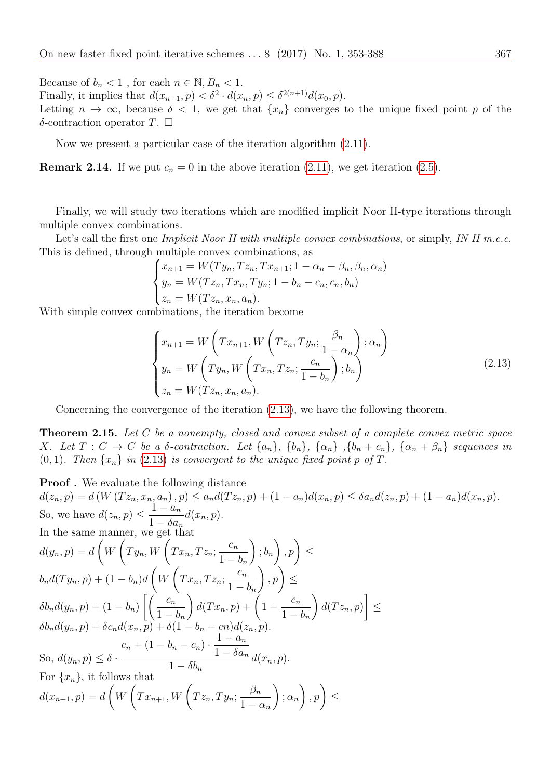Because of  $b_n < 1$ , for each  $n \in \mathbb{N}, B_n < 1$ . Finally, it implies that  $d(x_{n+1}, p) < \delta^2 \cdot d(x_n, p) \leq \delta^{2(n+1)} d(x_0, p)$ . Letting  $n \to \infty$ , because  $\delta < 1$ , we get that  $\{x_n\}$  converges to the unique fixed point p of the δ-contraction operator  $T$ .  $\Box$ 

Now we present a particular case of the iteration algorithm [\(2.11\)](#page-13-0).

**Remark 2.14.** If we put  $c_n = 0$  in the above iteration [\(2.11\)](#page-13-0), we get iteration [\(2.5\)](#page-10-0).

Finally, we will study two iterations which are modified implicit Noor II-type iterations through multiple convex combinations.

Let's call the first one *Implicit Noor II with multiple convex combinations*, or simply, *IN II m.c.c.* This is defined, through multiple convex combinations, as

$$
\begin{cases}\nx_{n+1} = W(Ty_n, Tx_n, Tx_{n+1}; 1 - \alpha_n - \beta_n, \beta_n, \alpha_n) \\
y_n = W(Tz_n, Tx_n, Ty_n; 1 - b_n - c_n, c_n, b_n) \\
z_n = W(Tz_n, x_n, a_n).\n\end{cases}
$$

With simple convex combinations, the iteration become

<span id="page-14-0"></span>
$$
\begin{cases}\nx_{n+1} = W\left(Tx_{n+1}, W\left(Tz_n, Ty_n; \frac{\beta_n}{1 - \alpha_n}\right); \alpha_n\right) \\
y_n = W\left(Ty_n, W\left(Tx_n, Tz_n; \frac{c_n}{1 - b_n}\right); b_n\right) \\
z_n = W(Tz_n, x_n, a_n).\n\end{cases} \tag{2.13}
$$

Concerning the convergence of the iteration [\(2.13\)](#page-14-0), we have the following theorem.

Theorem 2.15. Let C be a nonempty, closed and convex subset of a complete convex metric space X. Let  $T: C \to C$  be a  $\delta$ -contraction. Let  $\{a_n\}$ ,  $\{b_n\}$ ,  $\{\alpha_n\}$ ,  $\{b_n+c_n\}$ ,  $\{\alpha_n+\beta_n\}$  sequences in  $(0, 1)$ . Then  $\{x_n\}$  in (2.[13\)](#page-14-0) is convergent to the unique fixed point p of T.

**Proof.** We evaluate the following distance  
\n
$$
d(z_n, p) = d(W(Tz_n, x_n, a_n), p) \le a_n d(Tz_n, p) + (1 - a_n) d(x_n, p) \le \delta a_n d(z_n, p) + (1 - a_n) d(x_n, p).
$$
  
\nSo, we have  $d(z_n, p) \le \frac{1 - a_n}{1 - \delta a_n} d(x_n, p).$   
\nIn the same manner, we get that  
\n
$$
d(y_n, p) = d\left(W\left(Ty_n, W\left(Tx_n, Tz_n; \frac{c_n}{1 - b_n}\right); b_n\right), p\right) \le
$$
\n
$$
b_n d(Ty_n, p) + (1 - b_n) d\left(W\left(Tx_n, Tz_n; \frac{c_n}{1 - b_n}\right), p\right) \le
$$
\n
$$
\delta b_n d(y_n, p) + (1 - b_n) \left[\left(\frac{c_n}{1 - b_n}\right) d(Tx_n, p) + \left(1 - \frac{c_n}{1 - b_n}\right) d(Tz_n, p)\right] \le
$$
\n
$$
\delta b_n d(y_n, p) + \delta c_n d(x_n, p) + \delta(1 - b_n - cn) d(z_n, p).
$$
  
\nSo,  $d(y_n, p) \le \delta \cdot \frac{c_n + (1 - b_n - c_n) \cdot \frac{1 - a_n}{1 - \delta a_n}}{1 - \delta b_n} d(x_n, p).$   
\nFor  $\{x_n\}$ , it follows that  
\n
$$
d(x_{n+1}, p) = d\left(W\left(Tx_{n+1}, W\left(Tz_n, Ty_n; \frac{\beta_n}{1 - \alpha_n}\right); \alpha_n\right), p\right) \le
$$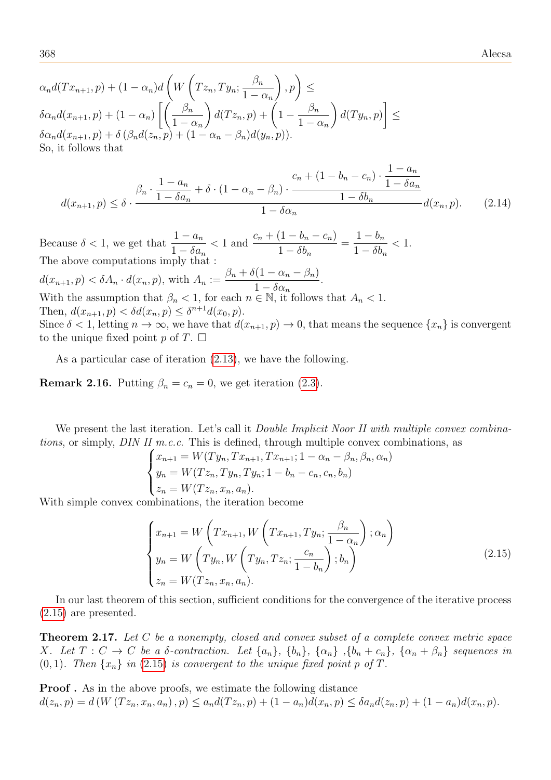$$
\alpha_n d(Tx_{n+1}, p) + (1 - \alpha_n) d\left(W\left(Tz_n, Ty_n; \frac{\beta_n}{1 - \alpha_n}\right), p\right) \le
$$
  

$$
\delta \alpha_n d(x_{n+1}, p) + (1 - \alpha_n) \left[\left(\frac{\beta_n}{1 - \alpha_n}\right) d(Tz_n, p) + \left(1 - \frac{\beta_n}{1 - \alpha_n}\right) d(Ty_n, p)\right] \le
$$
  

$$
\delta \alpha_n d(x_{n+1}, p) + \delta \left(\beta_n d(z_n, p) + (1 - \alpha_n - \beta_n) d(y_n, p)\right).
$$
  
So, it follows that

$$
d(x_{n+1}, p) \leq \delta \cdot \frac{\beta_n \cdot \frac{1 - a_n}{1 - \delta a_n} + \delta \cdot (1 - \alpha_n - \beta_n) \cdot \frac{c_n + (1 - b_n - c_n) \cdot \frac{1 - a_n}{1 - \delta a_n}}{1 - \delta a_n}}{1 - \delta a_n} d(x_n, p). \tag{2.14}
$$

Because  $\delta < 1$ , we get that  $\frac{1 - a_n}{1 - s_n}$  $1 - \delta a_n$  $< 1$  and  $\frac{c_n + (1 - b_n - c_n)}{1 - s}$  $1 - \delta b_n$  $=\frac{1-b_n}{1-\frac{5}{n}}$  $1 - \delta b_n$  $< 1$ . The above computations imply that :  $d(x_{n+1}, p) < \delta A_n \cdot d(x_n, p)$ , with  $A_n :=$  $\beta_n + \delta(1 - \alpha_n - \beta_n)$  $1 - \delta \alpha_n$ . With the assumption that  $\beta_n < 1$ , for each  $n \in \mathbb{N}$ , it follows that  $A_n < 1$ . Then,  $d(x_{n+1}, p) < \delta d(x_n, p) \leq \delta^{n+1} d(x_0, p)$ . Since  $\delta < 1$ , letting  $n \to \infty$ , we have that  $d(x_{n+1}, p) \to 0$ , that means the sequence  $\{x_n\}$  is convergent to the unique fixed point p of  $T$ .  $\Box$ 

As a particular case of iteration [\(2.13\)](#page-14-0), we have the following.

**Remark 2.16.** Putting  $\beta_n = c_n = 0$ , we get iteration [\(2.3\)](#page-8-1).

We present the last iteration. Let's call it *Double Implicit Noor II with multiple convex combina*tions, or simply, DIN II m.c.c. This is defined, through multiple convex combinations, as

$$
\begin{cases}\nx_{n+1} = W(Ty_n, Tx_{n+1}, Tx_{n+1}; 1 - \alpha_n - \beta_n, \beta_n, \alpha_n) \\
y_n = W(Tz_n, Ty_n, Ty_n; 1 - b_n - c_n, c_n, b_n) \\
z_n = W(Tz_n, x_n, a_n).\n\end{cases}
$$

With simple convex combinations, the iteration become

<span id="page-15-0"></span>
$$
\begin{cases}\nx_{n+1} = W\left(Tx_{n+1}, W\left(Tx_{n+1}, Ty_n; \frac{\beta_n}{1 - \alpha_n}\right); \alpha_n\right) \\
y_n = W\left(Ty_n, W\left(Ty_n, Tz_n; \frac{c_n}{1 - b_n}\right); b_n\right) \\
z_n = W(Tz_n, x_n, a_n).\n\end{cases} \tag{2.15}
$$

In our last theorem of this section, sufficient conditions for the convergence of the iterative process [\(2.15\)](#page-15-0) are presented.

Theorem 2.17. Let C be a nonempty, closed and convex subset of a complete convex metric space X. Let  $T: C \to C$  be a  $\delta$ -contraction. Let  $\{a_n\}$ ,  $\{b_n\}$ ,  $\{\alpha_n\}$ ,  $\{b_n+c_n\}$ ,  $\{\alpha_n+\beta_n\}$  sequences in  $(0, 1)$ . Then  $\{x_n\}$  in (2.[15\)](#page-15-0) is convergent to the unique fixed point p of T.

**Proof.** As in the above proofs, we estimate the following distance  $d(z_n, p) = d(W(Tz_n, x_n, a_n), p) \leq a_n d(Tz_n, p) + (1 - a_n)d(x_n, p) \leq \delta a_n d(z_n, p) + (1 - a_n)d(x_n, p).$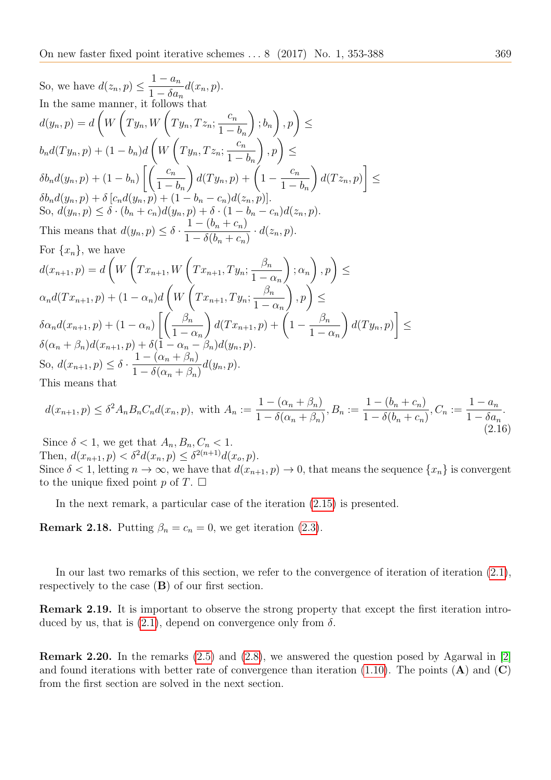So, we have 
$$
d(z_n, p) \leq \frac{1-a_n}{1-\delta a_n} d(x_n, p)
$$
.  
\nIn the same manner, it follows that  
\n
$$
d(y_n, p) = d\left(W\left(Ty_n, W\left(Ty_n, Tz_n; \frac{c_n}{1-b_n}\right); b_n\right), p\right) \leq
$$
\n
$$
b_n d(Ty_n, p) + (1-b_n) d\left(W\left(Ty_n, Tz_n; \frac{c_n}{1-b_n}\right), p\right) \leq
$$
\n
$$
\delta b_n d(y_n, p) + (1-b_n) \left[\left(\frac{c_n}{1-b_n}\right) d(Ty_n, p) + \left(1 - \frac{c_n}{1-b_n}\right) d(Tz_n, p)\right] \leq
$$
\n
$$
\delta b_n d(y_n, p) + \delta [c_n d(y_n, p) + (1-b_n-c_n) d(z_n, p)].
$$
\nSo,  $d(y_n, p) \leq \delta \cdot (b_n + c_n) d(y_n, p) + \delta \cdot (1-b_n-c_n) d(z_n, p)$ .  
\nThis means that  $d(y_n, p) \leq \delta \cdot \frac{1-(b_n+c_n)}{1-\delta(b_n+c_n)} \cdot d(z_n, p)$ .  
\nFor  $\{x_n\}$ , we have  
\n
$$
d(x_{n+1}, p) = d\left(W\left(Tx_{n+1}, W\left(Tx_{n+1}, Ty_n; \frac{\beta_n}{1-\alpha_n}\right); \alpha_n\right), p\right) \leq
$$
\n
$$
\alpha_n d(Tx_{n+1}, p) + (1-\alpha_n) d\left(W\left(Tx_{n+1}, Ty_n; \frac{\beta_n}{1-\alpha_n}\right), p\right) \leq
$$
\n
$$
\delta \alpha_n d(x_{n+1}, p) + (1-\alpha_n) \left[\left(\frac{\beta_n}{1-\alpha_n}\right) d(Tx_{n+1}, p) + \left(1 - \frac{\beta_n}{1-\alpha_n}\right) d(Ty_n, p\right]
$$
\nSo,  $d(x_{n+1}, p) \leq \delta \cdot \frac{1-(\alpha_n+\beta_n)}{1-\delta(\alpha_n+\beta_n)} d(y_n, p)$ .  
\nThis means that

$$
d(x_{n+1}, p) \le \delta^2 A_n B_n C_n d(x_n, p), \text{ with } A_n := \frac{1 - (\alpha_n + \beta_n)}{1 - \delta(\alpha_n + \beta_n)}, B_n := \frac{1 - (b_n + c_n)}{1 - \delta(b_n + c_n)}, C_n := \frac{1 - a_n}{1 - \delta a_n}.
$$
\n(2.16)

Since  $\delta < 1$ , we get that  $A_n, B_n, C_n < 1$ . Then,  $d(x_{n+1}, p) < \delta^2 d(x_n, p) \leq \delta^{2(n+1)} d(x_o, p)$ . Since  $\delta < 1$ , letting  $n \to \infty$ , we have that  $d(x_{n+1}, p) \to 0$ , that means the sequence  $\{x_n\}$  is convergent to the unique fixed point p of  $T$ .  $\Box$ 

In the next remark, a particular case of the iteration [\(2.15\)](#page-15-0) is presented.

**Remark 2.18.** Putting  $\beta_n = c_n = 0$ , we get iteration [\(2.3\)](#page-8-1).

In our last two remarks of this section, we refer to the convergence of iteration of iteration  $(2.1)$ , respectively to the case (B) of our first section.

Remark 2.19. It is important to observe the strong property that except the first iteration introduced by us, that is  $(2.1)$ , depend on convergence only from  $\delta$ .

Remark 2.20. In the remarks [\(2.5\)](#page-9-0) and [\(2.8\)](#page-10-1), we answered the question posed by Agarwal in [\[2\]](#page-35-15) and found iterations with better rate of convergence than iteration [\(1.10\)](#page-5-0). The points  $(A)$  and  $(C)$ from the first section are solved in the next section.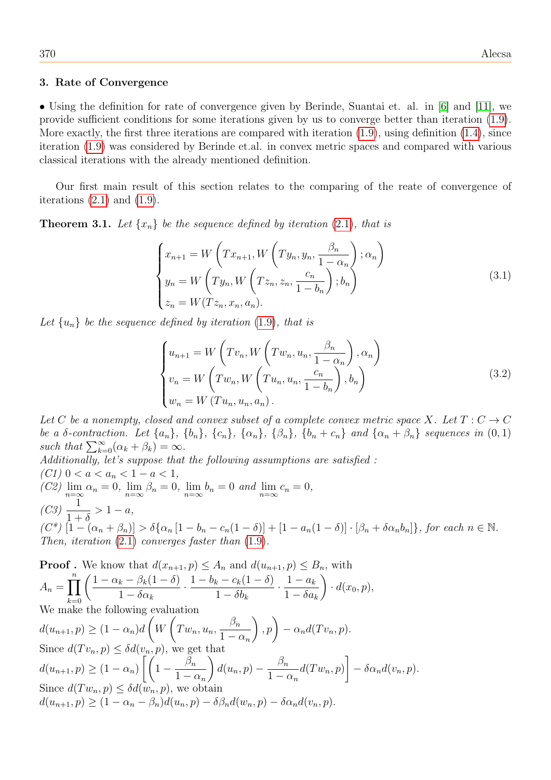#### 3. Rate of Convergence

• Using the definition for rate of convergence given by Berinde, Suantai et. al. in [\[6\]](#page-35-2) and [\[11\]](#page-35-12), we provide sufficient conditions for some iterations given by us to converge better than iteration [\(1.9\)](#page-4-0). More exactly, the first three iterations are compared with iteration  $(1.9)$ , using definition  $(1.4)$ , since iteration [\(1.9\)](#page-4-0) was considered by Berinde et.al. in convex metric spaces and compared with various classical iterations with the already mentioned definition.

Our first main result of this section relates to the comparing of the reate of convergence of iterations  $(2.1)$  and  $(1.9)$ .

<span id="page-17-0"></span>**Theorem 3.1.** Let  $\{x_n\}$  be the sequence defined by iteration (2.[1\)](#page-7-0), that is

$$
\begin{cases}\nx_{n+1} = W\left(Tx_{n+1}, W\left(Ty_n, y_n, \frac{\beta_n}{1 - \alpha_n}\right); \alpha_n\right) \\
y_n = W\left(Ty_n, W\left(Tz_n, z_n, \frac{c_n}{1 - b_n}\right); b_n\right) \\
z_n = W(Tz_n, x_n, a_n).\n\end{cases} \tag{3.1}
$$

Let  $\{u_n\}$  be the sequence defined by iteration [\(1](#page-4-0).9), that is

$$
\begin{cases}\nu_{n+1} = W\left(Tv_n, W\left(Tw_n, u_n, \frac{\beta_n}{1 - \alpha_n}\right), \alpha_n\right) \\
v_n = W\left(Tw_n, W\left(Tu_n, u_n, \frac{c_n}{1 - b_n}\right), b_n\right) \\
w_n = W\left(Tu_n, u_n, a_n\right).\n\end{cases} \tag{3.2}
$$

Let C be a nonempty, closed and convex subset of a complete convex metric space X. Let  $T: C \to C$ be a δ-contraction. Let  $\{a_n\}$ ,  $\{b_n\}$ ,  $\{c_n\}$ ,  $\{\alpha_n\}$ ,  $\{\beta_n\}$ ,  $\{b_n+c_n\}$  and  $\{\alpha_n+\beta_n\}$  sequences in  $(0,1)$ such that  $\sum_{k=0}^{\infty} (\alpha_k + \beta_k) = \infty$ . Additionally, let's suppose that the following assumptions are satisfied :

(C1)  $0 < a < a_n < 1 - a < 1$ , (C2)  $\lim_{n=\infty} \alpha_n = 0$ ,  $\lim_{n=\infty} \beta_n = 0$ ,  $\lim_{n=\infty} b_n = 0$  and  $\lim_{n=\infty} c_n = 0$ ,  $(C3)$   $\frac{1}{1}$  $1+\delta$  $> 1 - a$ ,  $(C^*)$   $[1 - (\alpha_n + \beta_n)] > \delta\{\alpha_n [1 - b_n - c_n(1 - \delta)] + [1 - a_n(1 - \delta)] \cdot [\beta_n + \delta\alpha_n b_n]\},$  for each  $n \in \mathbb{N}$ . Then, iteration  $(2.1)$  $(2.1)$  converges faster than  $(1.9)$  $(1.9)$ .

**Proof.** We know that 
$$
d(x_{n+1}, p) \leq A_n
$$
 and  $d(u_{n+1}, p) \leq B_n$ , with  
\n
$$
A_n = \prod_{k=0}^n \left( \frac{1 - \alpha_k - \beta_k (1 - \delta)}{1 - \delta \alpha_k} \cdot \frac{1 - b_k - c_k (1 - \delta)}{1 - \delta b_k} \cdot \frac{1 - a_k}{1 - \delta a_k} \right) \cdot d(x_0, p),
$$
\nWe make the following evaluation  
\n
$$
d(u_{n+1}, p) \geq (1 - \alpha_n) d\left(W\left(Tw_n, u_n, \frac{\beta_n}{1 - \alpha_n}\right), p\right) - \alpha_n d(Tv_n, p).
$$
\nSince  $d(Tv_n, p) \leq \delta d(v_n, p)$ , we get that  
\n
$$
d(u_{n+1}, p) \geq (1 - \alpha_n) \left[ \left(1 - \frac{\beta_n}{1 - \alpha_n}\right) d(u_n, p) - \frac{\beta_n}{1 - \alpha_n} d(Tw_n, p) \right] - \delta \alpha_n d(v_n, p).
$$
\nSince  $d(Tw_n, p) \leq \delta d(w_n, p)$ , we obtain  
\n
$$
d(u_{n+1}, p) \geq (1 - \alpha_n - \beta_n) d(u_n, p) - \delta \beta_n d(w_n, p) - \delta \alpha_n d(v_n, p).
$$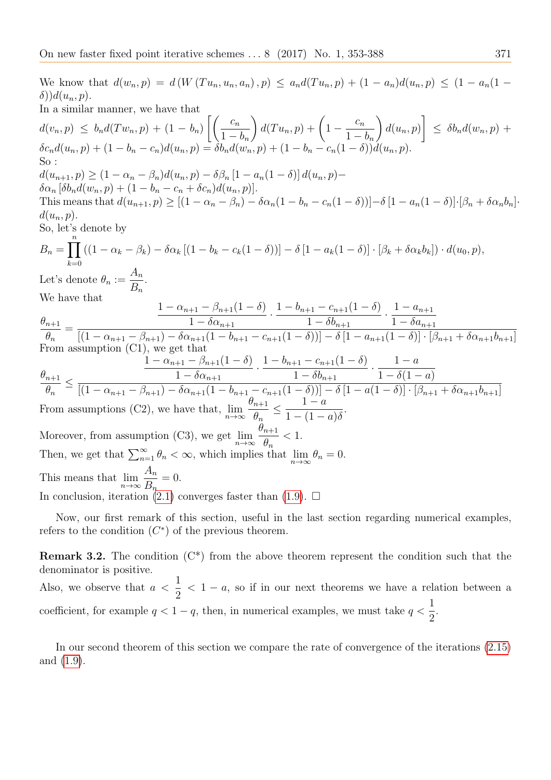We know that  $d(w_n, p) = d(W(T u_n, u_n, a_n), p) \leq a_n d(T u_n, p) + (1 - a_n) d(u_n, p) \leq (1 - a_n (1 - a_n))$  $\delta$ )) $d(u_n, p)$ . In a similar manner, we have that  $d(v_n, p) \leq b_n d(Tw_n, p) + (1 - b_n)$  $\left[\begin{array}{cc} c_n \end{array}\right]$  $1 - b_n$  $\bigg) d(T u_n, p) + \bigg(1 - \frac{c_n}{1} \bigg)$  $1 - b_n$  $\setminus$  $d(u_n, p)$ 1  $\leq \delta b_n d(w_n, p) +$  $\delta c_n d(u_n, p) + (1 - b_n - c_n) d(u_n, p) = \delta b_n d(w_n, p) + (1 - b_n - c_n(1 - \delta)) d(u_n, p).$ So :  $d(u_{n+1}, p) \geq (1 - \alpha_n - \beta_n)d(u_n, p) - \delta \beta_n [1 - a_n(1 - \delta)] d(u_n, p) \delta \alpha_n [\delta b_n d(w_n, p) + (1 - b_n - c_n + \delta c_n) d(u_n, p)].$ This means that  $d(u_{n+1}, p) \ge [(1 - \alpha_n - \beta_n) - \delta \alpha_n (1 - b_n - c_n(1 - \delta))] - \delta [1 - a_n(1 - \delta)] \cdot [\beta_n + \delta \alpha_n b_n]$  $d(u_n, p).$ So, let's denote by  $B_n = \prod^n$  $k=0$  $((1 - \alpha_k - \beta_k) - \delta \alpha_k [(1 - b_k - c_k(1 - \delta))] - \delta [1 - a_k(1 - \delta)] \cdot [\beta_k + \delta \alpha_k b_k]) \cdot d(u_0, p),$ Let's denote  $\theta_n :=$  $A_n$  $B_n$ . We have that  $\theta_{n+1}$  $\theta_n$ =  $1 - \alpha_{n+1} - \beta_{n+1}(1 - \delta)$  $1 - \delta \alpha_{n+1}$  $\frac{1-b_{n+1}-c_{n+1}(1-\delta)}{1-\frac{c_1}{2}}$  $1 - \delta b_{n+1}$  $\frac{1-a_{n+1}}{1-\varsigma}$  $1 - \delta a_{n+1}$  $[(1 - \alpha_{n+1} - \beta_{n+1}) - \delta \alpha_{n+1}(1 - b_{n+1} - c_{n+1}(1 - \delta))] - \delta [1 - a_{n+1}(1 - \delta)] \cdot [\beta_{n+1} + \delta \alpha_{n+1} b_{n+1}]$ From assumption (C1), we get that  $\theta_{n+1}$  $\theta_n$ ≤  $1 - \alpha_{n+1} - \beta_{n+1}(1 - \delta)$  $1 - \delta \alpha_{n+1}$  $\frac{1-b_{n+1}-c_{n+1}(1-\delta)}{1-\delta}$  $1 - \delta b_{n+1}$  $\frac{1-a}{1-\frac{5}{4}}$  $1 - \delta(1 - a)$  $[(1 - \alpha_{n+1} - \beta_{n+1}) - \delta \alpha_{n+1}(1 - b_{n+1} - c_{n+1}(1 - \delta))] - \delta [1 - a(1 - \delta)] \cdot [\beta_{n+1} + \delta \alpha_{n+1} b_{n+1}]$ From assumptions (C2), we have that,  $\lim_{n\to\infty}$  $\theta_{n+1}$  $\theta_n$  $\leq \frac{1-a}{1-(1-a)}$  $1-(1-a)\delta$ . Moreover, from assumption (C3), we get  $\lim_{n\to\infty}$  $\theta_{n+1}$  $\theta_n$  $< 1$ . Then, we get that  $\sum_{n=1}^{\infty} \theta_n < \infty$ , which implies that  $\lim_{n \to \infty} \theta_n = 0$ . This means that  $\lim_{n\to\infty}$  $A_n$  $B_n$  $= 0.$ In conclusion, iteration [\(2.1\)](#page-7-0) converges faster than [\(1.9\)](#page-4-0).  $\Box$ 

Now, our first remark of this section, useful in the last section regarding numerical examples, refers to the condition  $(C^*)$  of the previous theorem.

**Remark 3.2.** The condition  $(C^*)$  from the above theorem represent the condition such that the denominator is positive. Also, we observe that  $a <$ 1 2  $< 1 - a$ , so if in our next theorems we have a relation between a coefficient, for example  $q < 1 - q$ , then, in numerical examples, we must take  $q < \frac{1}{2}$ 2 .

<span id="page-18-0"></span>In our second theorem of this section we compare the rate of convergence of the iterations [\(2.15\)](#page-15-0) and [\(1.9\)](#page-4-0).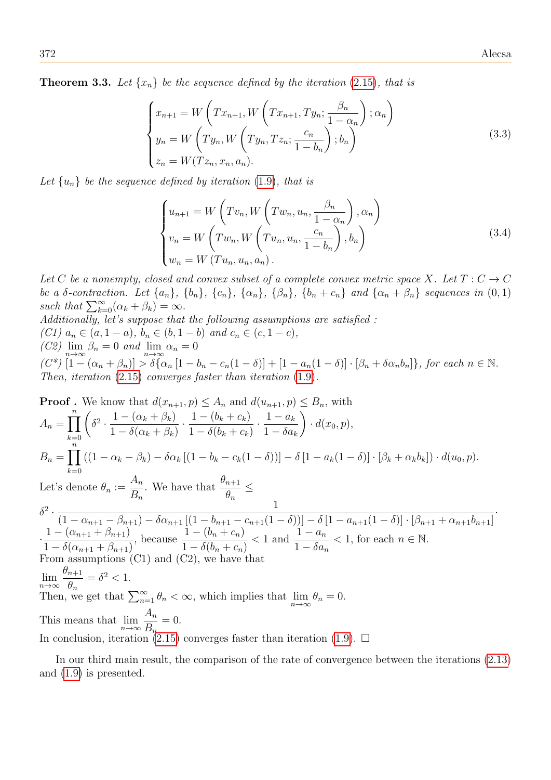**Theorem 3.3.** Let  $\{x_n\}$  be the sequence defined by the iteration (2.[15\)](#page-15-0), that is

$$
\begin{cases}\nx_{n+1} = W\left(Tx_{n+1}, W\left(Tx_{n+1}, Ty_n; \frac{\beta_n}{1 - \alpha_n}\right); \alpha_n\right) \\
y_n = W\left(Ty_n, W\left(Ty_n, Tz_n; \frac{c_n}{1 - b_n}\right); b_n\right) \\
z_n = W(Tz_n, x_n, a_n).\n\end{cases} \tag{3.3}
$$

Let  $\{u_n\}$  be the sequence defined by iteration [\(1](#page-4-0).9), that is

$$
\begin{cases}\nu_{n+1} = W\left(Tv_n, W\left(Tw_n, u_n, \frac{\beta_n}{1 - \alpha_n}\right), \alpha_n\right) \\
v_n = W\left(Tw_n, W\left(Tu_n, u_n, \frac{c_n}{1 - b_n}\right), b_n\right) \\
w_n = W\left(Tu_n, u_n, a_n\right).\n\end{cases} \tag{3.4}
$$

Let C be a nonempty, closed and convex subset of a complete convex metric space X. Let  $T: C \to C$ be a δ-contraction. Let  $\{a_n\}$ ,  $\{b_n\}$ ,  $\{c_n\}$ ,  $\{\alpha_n\}$ ,  $\{\beta_n\}$ ,  $\{b_n + c_n\}$  and  $\{\alpha_n + \beta_n\}$  sequences in  $(0, 1)$ such that  $\sum_{k=0}^{\infty} (\alpha_k + \beta_k) = \infty$ .

Additionally, let's suppose that the following assumptions are satisfied : (C1)  $a_n \in (a, 1 - a), b_n \in (b, 1 - b)$  and  $c_n \in (c, 1 - c)$ ,  $(C2)$   $\lim_{n\to\infty} \beta_n = 0$  and  $\lim_{n\to\infty} \alpha_n = 0$  $(C^*)$   $[1-(\alpha_n+\beta_n)] > \delta[\alpha_n[1-b_n-c_n(1-\delta)]+[1-a_n(1-\delta)]\cdot[\beta_n+\delta\alpha_nb_n]\},$  for each  $n \in \mathbb{N}$ . Then, iteration (2.[15\)](#page-15-0) converges faster than iteration [\(1](#page-4-0).9).

Proof. We know that 
$$
d(x_{n+1}, p) \leq A_n
$$
 and  $d(u_{n+1}, p) \leq B_n$ , with  
\n
$$
A_n = \prod_{k=0}^n \left( \delta^2 \cdot \frac{1 - (\alpha_k + \beta_k)}{1 - \delta(\alpha_k + \beta_k)} \cdot \frac{1 - (b_k + c_k)}{1 - \delta(b_k + c_k)} \cdot \frac{1 - a_k}{1 - \delta a_k} \right) \cdot d(x_0, p),
$$
\n
$$
B_n = \prod_{k=0}^n \left( (1 - \alpha_k - \beta_k) - \delta \alpha_k \left[ (1 - b_k - c_k(1 - \delta)) \right] - \delta \left[ 1 - a_k(1 - \delta) \right] \cdot \left[ \beta_k + \alpha_k b_k \right] \right) \cdot d(u_0, p).
$$
\nLet's denote  $\theta_n := \frac{A_n}{B_n}$ . We have that  $\frac{\theta_{n+1}}{\theta_n} \le$   
\n
$$
\delta^2 \cdot \frac{1}{(1 - \alpha_{n+1} - \beta_{n+1}) - \delta \alpha_{n+1} \left[ (1 - b_{n+1} - c_{n+1}(1 - \delta)) \right] - \delta \left[ 1 - a_{n+1}(1 - \delta) \right] \cdot \left[ \beta_{n+1} + \alpha_{n+1} b_{n+1} \right]}{1 - (\alpha_{n+1} + \beta_{n+1})},
$$
 because  $\frac{1 - (b_n + c_n)}{1 - \delta(b_n + c_n)} < 1$  and  $\frac{1 - a_n}{1 - \delta a_n} < 1$ , for each  $n \in \mathbb{N}$ .  
\nFrom assumptions (C1) and (C2), we have that  
\n
$$
\lim_{n \to \infty} \frac{\theta_{n+1}}{\theta_n} = \delta^2 < 1.
$$
\nThen, we get that  $\sum_{n=1}^{\infty} \theta_n < \infty$ , which implies that  $\lim_{n \to \infty} \theta_n = 0$ .  
\nThis means that  $\lim_{n \to \infty} \frac{A_n}{B_n} = 0$ .  
\nIn conclusion, iteration (2.15) converges faster than iteration (1.9).  $\Box$ 

<span id="page-19-0"></span>In our third main result, the comparison of the rate of convergence between the iterations [\(2.13\)](#page-14-0) and [\(1.9\)](#page-4-0) is presented.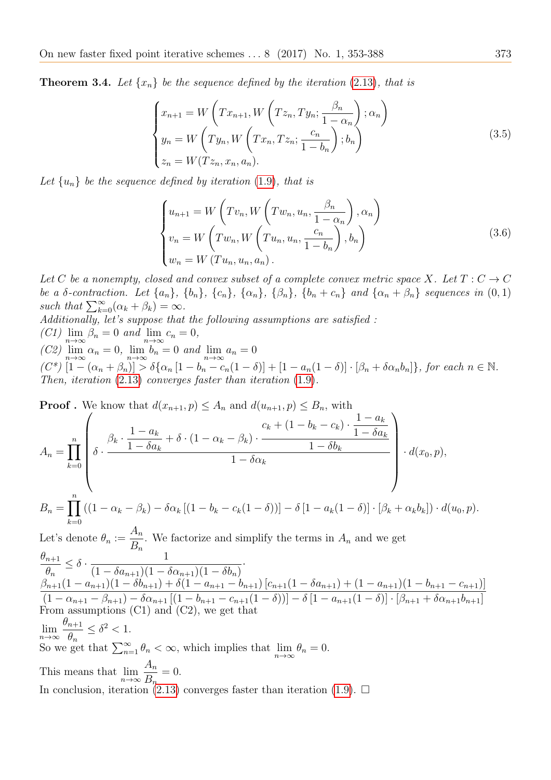**Theorem 3.4.** Let  $\{x_n\}$  be the sequence defined by the iteration (2.[13\)](#page-14-0), that is

$$
\begin{cases}\nx_{n+1} = W\left(Tx_{n+1}, W\left(Tz_n, Ty_n; \frac{\beta_n}{1 - \alpha_n}\right); \alpha_n\right) \\
y_n = W\left(Ty_n, W\left(Tx_n, Tz_n; \frac{c_n}{1 - b_n}\right); b_n\right) \\
z_n = W(Tz_n, x_n, a_n).\n\end{cases} \tag{3.5}
$$

Let  $\{u_n\}$  be the sequence defined by iteration [\(1](#page-4-0).9), that is

$$
\begin{cases}\nu_{n+1} = W\left(Tv_n, W\left(Tw_n, u_n, \frac{\beta_n}{1 - \alpha_n}\right), \alpha_n\right) \\
v_n = W\left(Tw_n, W\left(Tu_n, u_n, \frac{c_n}{1 - b_n}\right), b_n\right) \\
w_n = W\left(Tu_n, u_n, a_n\right).\n\end{cases} \tag{3.6}
$$

Let C be a nonempty, closed and convex subset of a complete convex metric space X. Let  $T: C \to C$ be a δ-contraction. Let  $\{a_n\}$ ,  $\{b_n\}$ ,  $\{c_n\}$ ,  $\{\alpha_n\}$ ,  $\{\beta_n\}$ ,  $\{b_n + c_n\}$  and  $\{\alpha_n + \beta_n\}$  sequences in  $(0, 1)$ such that  $\sum_{k=0}^{\infty} (\alpha_k + \beta_k) = \infty$ .

Additionally, let's suppose that the following assumptions are satisfied :  $(C1)$   $\lim_{n \to \infty} \beta_n = 0$  and  $\lim_{n \to \infty} c_n = 0$ ,

 $(C2)$   $\lim_{n\to\infty} \alpha_n = 0$ ,  $\lim_{n\to\infty} b_n = 0$  and  $\lim_{n\to\infty} a_n = 0$ 

 $k=0$ 

 $(C^*)\left[1-(\alpha_n+\beta_n)\right]\geq \delta\{\alpha_n\left[1-b_n-c_n(1-\delta)\right]+\left[1-a_n(1-\delta)\right]\cdot[\beta_n+\delta\alpha_nb_n]\},\text{ for each }n\in\mathbb{N}.$ Then, iteration  $(2.13)$  $(2.13)$  converges faster than iteration  $(1.9)$  $(1.9)$ .

**Proof**. We know that  $d(x_{n+1}, p) \leq A_n$  and  $d(u_{n+1}, p)$  $A_n = \prod^n$  $_{k=0}$  $\sqrt{ }$  $\begin{array}{|c|c|} \hline \rule{0pt}{12pt} \rule{0pt}{2.5pt} \rule{0pt}{2.5pt} \rule{0pt}{2.5pt} \rule{0pt}{2.5pt} \rule{0pt}{2.5pt} \rule{0pt}{2.5pt} \rule{0pt}{2.5pt} \rule{0pt}{2.5pt} \rule{0pt}{2.5pt} \rule{0pt}{2.5pt} \rule{0pt}{2.5pt} \rule{0pt}{2.5pt} \rule{0pt}{2.5pt} \rule{0pt}{2.5pt} \rule{0pt}{2.5pt} \rule{0pt}{2.5pt} \rule{0pt}{2.5pt} \rule{0pt}{2.5$  $\delta$  ·  $\beta_k$  ·  $1 - a_k$  $1 - \delta a_k$  $+\delta\cdot(1-\alpha_k-\beta_k)\cdot$  $c_k + (1 - b_k - c_k)$ .  $1 - a_k$  $1 - \delta a_k$  $1 - \delta b_k$  $1 - \delta \alpha_k$  $\setminus$  $\begin{array}{c} \hline \end{array}$  $\cdot d(x_0, p),$  $B_n = \prod^n$  $((1 - \alpha_k - \beta_k) - \delta \alpha_k [(1 - b_k - c_k(1 - \delta))] - \delta [1 - a_k(1 - \delta)] \cdot [\beta_k + \alpha_k b_k]) \cdot d(u_0, p).$ 

Let's denote  $\theta_n :=$  $A_n$  $B_n$ . We factorize and simplify the terms in  $A_n$  and we get  $\theta_{n+1}$  $\theta_n$  $\leq \delta \cdot \frac{1}{(1-\delta)^{1/4}}$  $(1 - \delta a_{n+1})(1 - \delta \alpha_{n+1})(1 - \delta b_n)$ ·  $\beta_{n+1}(1-a_{n+1})(1-\delta b_{n+1})+\delta(1-a_{n+1}-b_{n+1})\left[c_{n+1}(1-\delta a_{n+1})+(1-a_{n+1})(1-b_{n+1}-c_{n+1})\right]$  $(1 - \alpha_{n+1} - \beta_{n+1}) - \delta \alpha_{n+1} [(1 - b_{n+1} - c_{n+1}(1 - \delta))] - \delta [1 - a_{n+1}(1 - \delta)] \cdot [\beta_{n+1} + \delta \alpha_{n+1} b_{n+1}]$ From assumptions (C1) and (C2), we get that  $\lim_{n\to\infty}$  $\theta_{n+1}$  $\theta_n$  $\leq \delta^2 < 1$ . So we get that  $\sum_{n=1}^{\infty} \theta_n < \infty$ , which implies that  $\lim_{n \to \infty} \theta_n = 0$ . This means that  $\lim_{n\to\infty} \frac{P_n}{B_n}$  $A_n$  $= 0.$ In conclusion, iteration [\(2.13\)](#page-14-0) converges faster than iteration [\(1.9\)](#page-4-0).  $\Box$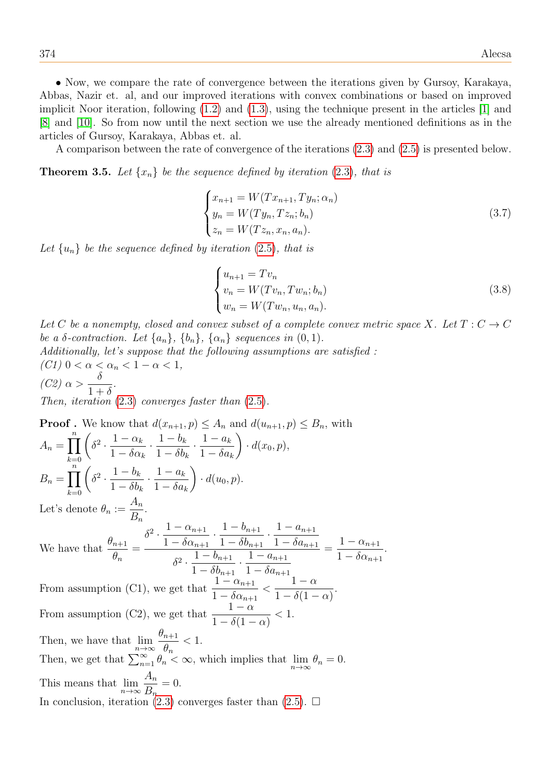• Now, we compare the rate of convergence between the iterations given by Gursoy, Karakaya, Abbas, Nazir et. al, and our improved iterations with convex combinations or based on improved implicit Noor iteration, following [\(1.2\)](#page-2-0) and [\(1.3\)](#page-2-1), using the technique present in the articles [\[1\]](#page-35-0) and [\[8\]](#page-35-3) and [\[10\]](#page-35-4). So from now until the next section we use the already mentioned definitions as in the articles of Gursoy, Karakaya, Abbas et. al.

A comparison between the rate of convergence of the iterations [\(2.3\)](#page-8-1) and [\(2.5\)](#page-10-0) is presented below.

<span id="page-21-0"></span>**Theorem 3.5.** Let  $\{x_n\}$  be the sequence defined by iteration (2.[3\)](#page-8-1), that is

$$
\begin{cases}\n x_{n+1} = W(T x_{n+1}, T y_n; \alpha_n) \\
 y_n = W(T y_n, T z_n; b_n) \\
 z_n = W(T z_n, x_n, a_n).\n\end{cases}
$$
\n(3.7)

Let  $\{u_n\}$  be the sequence defined by iteration [\(2](#page-10-0).5), that is

$$
\begin{cases}\n u_{n+1} = Tv_n \\
 v_n = W(Tv_n, Tw_n; b_n) \\
 w_n = W(Tw_n, u_n, a_n).\n\end{cases}
$$
\n(3.8)

.

Let C be a nonempty, closed and convex subset of a complete convex metric space X. Let  $T: C \to C$ be a  $\delta$ -contraction. Let  $\{a_n\}$ ,  $\{b_n\}$ ,  $\{\alpha_n\}$  sequences in  $(0, 1)$ .

Additionally, let's suppose that the following assumptions are satisfied : (C1)  $0 < \alpha < \alpha_n < 1 - \alpha < 1$ ,  $(C2) \alpha >$  $\delta$  $1+\delta$ . Then, iteration  $(2.3)$  $(2.3)$  converges faster than  $(2.5)$  $(2.5)$ .

**Proof**. We know that  $d(x_{n+1}, p) \leq A_n$  and  $d(u_{n+1}, p) \leq B_n$ , with  $A_n = \prod^n$  $_{k=0}$  $\sqrt{ }$  $\delta^2 \cdot \frac{1-\alpha_k}{1-\varsigma}$  $1 - \delta \alpha_k$  $\frac{1-b_k}{1-\varepsilon}$  $1 - \delta b_k$  $\frac{1-a_k}{1-\varsigma}$  $1 - \delta a_k$  $\setminus$  $\cdot d(x_0, p),$  $B_n = \prod^n$  $k=0$  $\sqrt{ }$  $\delta^2 \cdot \frac{1-b_k}{1-\varsigma t}$  $1 - \delta b_k$  $\frac{1-a_k}{1-\varsigma}$  $1 - \delta a_k$  $\setminus$  $\cdot d(u_0, p).$ Let's denote  $\theta_n :=$  $A_n$  $B_n$ . We have that  $\frac{\theta_{n+1}}{2}$  $\theta_n$ =  $\delta^2 \cdot \frac{1-\alpha_{n+1}}{1-\varsigma}$  $1 - \delta \alpha_{n+1}$  $\frac{1-b_{n+1}}{1-\frac{5}{n}}$  $1 - \delta b_{n+1}$  $\frac{1 - a_{n+1}}{1 - s}$  $1 - \delta a_{n+1}$  $\delta^2 \cdot \frac{1 - b_{n+1}}{1 - s}$  $1 - \delta b_{n+1}$  $\frac{1-a_{n+1}}{1-\varsigma}$  $1 - \delta a_{n+1}$  $=\frac{1-\alpha_{n+1}}{1-\varsigma}$  $1 - \delta \alpha_{n+1}$ From assumption (C1), we get that  $\frac{1-\alpha_{n+1}}{1-\alpha_n}$  $1 - \delta \alpha_{n+1}$  $\lt$  $1 - \alpha$  $1 - \delta(1 - \alpha)$ . From assumption (C2), we get that  $\frac{1-\alpha}{1-\beta}$  $1 - \delta(1 - \alpha)$  $< 1$ . Then, we have that  $\lim_{n\to\infty}$  $\theta_{n+1}$  $\theta_n$  $< 1$ . Then, we get that  $\sum_{n=1}^{\infty} \theta_n \leq \infty$ , which implies that  $\lim_{n \to \infty} \theta_n = 0$ . This means that  $\lim_{n\to\infty}$  $A_n$  $B_n$  $= 0.$ In conclusion, iteration [\(2.3\)](#page-8-1) converges faster than [\(2.5\)](#page-10-0).  $\Box$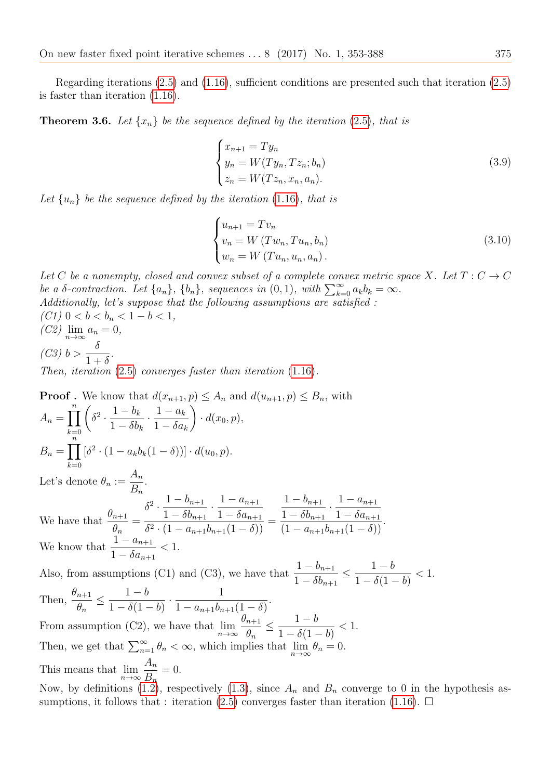Regarding iterations [\(2.5\)](#page-10-0) and [\(1.16\)](#page-6-2), sufficient conditions are presented such that iteration [\(2.5\)](#page-10-0) is faster than iteration [\(1.16\)](#page-6-2).

<span id="page-22-0"></span>**Theorem 3.6.** Let  $\{x_n\}$  be the sequence defined by the iteration [\(2](#page-10-0).5), that is

$$
\begin{cases}\n x_{n+1} = Ty_n \\
 y_n = W(Ty_n, Tz_n; b_n) \\
 z_n = W(Tz_n, x_n, a_n).\n\end{cases}
$$
\n(3.9)

Let  $\{u_n\}$  be the sequence defined by the iteration (1.[16\)](#page-6-2), that is

$$
\begin{cases}\n u_{n+1} = Tv_n \\
 v_n = W (Tw_n, Tu_n, b_n) \\
 w_n = W (Tu_n, u_n, a_n).\n\end{cases}
$$
\n(3.10)

Let C be a nonempty, closed and convex subset of a complete convex metric space X. Let  $T: C \to C$ be a  $\delta$ -contraction. Let  $\{a_n\}$ ,  $\{b_n\}$ , sequences in  $(0, 1)$ , with  $\sum_{k=0}^{\infty} a_k b_k = \infty$ . Additionally, let's suppose that the following assumptions are satisfied : (C1)  $0 < b < b_n < 1 - b < 1$ ,  $(C2)$   $\lim_{n\to\infty} a_n = 0,$  $(C3)$  b >  $\frac{\delta}{1}$  $1+\delta$ . Then, iteration (2.[5\)](#page-10-0) converges faster than iteration (1.[16\)](#page-6-2).

Proof. We know that 
$$
d(x_{n+1}, p) \le A_n
$$
 and  $d(u_{n+1}, p) \le B_n$ , with  
\n
$$
A_n = \prod_{k=0}^n \left( \delta^2 \cdot \frac{1 - b_k}{1 - \delta b_k} \cdot \frac{1 - a_k}{1 - \delta a_k} \right) \cdot d(x_0, p),
$$
\n
$$
B_n = \prod_{k=0}^n \left[ \delta^2 \cdot (1 - a_k b_k (1 - \delta)) \right] \cdot d(u_0, p).
$$
\nLet's denote  $\theta_n := \frac{A_n}{B_n}.$   
\nWe have that  $\frac{\theta_{n+1}}{\theta_n} = \frac{\delta^2 \cdot \frac{1 - b_{n+1}}{1 - \delta b_{n+1}} \cdot \frac{1 - a_{n+1}}{1 - \delta a_{n+1}}}{\frac{1 - \delta b_{n+1}}{1 - \delta a_{n+1}} \cdot \frac{1 - a_{n+1}}{1 - \delta a_{n+1}}.$   
\nWe know that  $\frac{1 - a_{n+1}}{1 - \delta a_{n+1}} < 1$ .  
\nAlso, from assumptions (C1) and (C3), we have that  $\frac{1 - b_{n+1}}{1 - \delta b_{n+1}} \le \frac{1 - b}{1 - \delta (1 - b)} < 1$ .  
\nThen,  $\frac{\theta_{n+1}}{\theta_n} \le \frac{1 - b}{1 - \delta (1 - b)} \cdot \frac{1}{1 - a_{n+1} b_{n+1} (1 - \delta)}.$ 

 $1 - \delta(1 - b)$  $1 - a_{n+1}b_{n+1}(1 - \delta)$ From assumption (C2), we have that  $\lim_{n\to\infty}$  $\theta_{n+1}$  $\theta_n$  $\leq \frac{1-b}{1-\frac{c}{a}}$  $1 - \delta(1 - b)$  $< 1$ . Then, we get that  $\sum_{n=1}^{\infty} \theta_n < \infty$ , which implies that  $\lim_{n \to \infty} \theta_n = 0$ . This means that  $\lim_{n\to\infty}$  $A_n$  $B_n$  $= 0.$ 

Now, by definitions [\(1.2\)](#page-2-0), respectively [\(1.3\)](#page-2-1), since  $A_n$  and  $B_n$  converge to 0 in the hypothesis as-sumptions, it follows that : iteration [\(2.5\)](#page-10-0) converges faster than iteration [\(1.16\)](#page-6-2).  $\Box$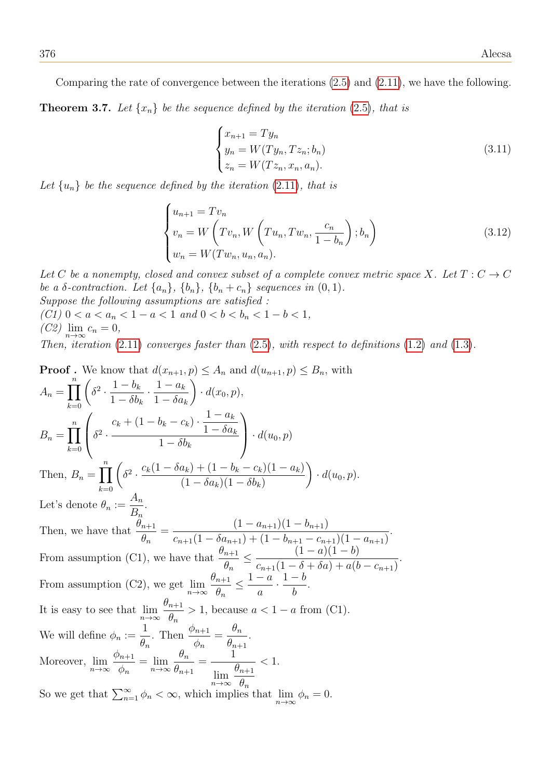<span id="page-23-0"></span>Comparing the rate of convergence between the iterations [\(2.5\)](#page-10-0) and [\(2.11\)](#page-13-0), we have the following. **Theorem 3.7.** Let  $\{x_n\}$  be the sequence defined by the iteration [\(2](#page-10-0).5), that is

$$
\begin{cases}\n x_{n+1} = Ty_n \\
 y_n = W(Ty_n, Tz_n; b_n) \\
 z_n = W(Tz_n, x_n, a_n).\n\end{cases}
$$
\n(3.11)

Let  $\{u_n\}$  be the sequence defined by the iteration (2.[11\)](#page-13-0), that is

$$
\begin{cases}\n u_{n+1} = Tv_n \\
 v_n = W\left(Tv_n, W\left(Tu_n, Tw_n, \frac{c_n}{1 - b_n}\right); b_n\right) \\
 w_n = W(Tw_n, u_n, a_n).\n\end{cases}
$$
\n(3.12)

Let C be a nonempty, closed and convex subset of a complete convex metric space X. Let  $T: C \to C$ be a  $\delta$ -contraction. Let  $\{a_n\}$ ,  $\{b_n\}$ ,  $\{b_n+c_n\}$  sequences in  $(0, 1)$ . Suppose the following assumptions are satisfied :

(C1)  $0 < a < a_n < 1 - a < 1$  and  $0 < b < b_n < 1 - b < 1$ ,  $(C2)$   $\lim_{n\to\infty} c_n = 0,$ 

Then, iteration  $(2.11)$  $(2.11)$  converges faster than  $(2.5)$  $(2.5)$ , with respect to definitions  $(1.2)$  $(1.2)$  and  $(1.3)$  $(1.3)$ .

Proof. We know that 
$$
d(x_{n+1}, p) \leq A_n
$$
 and  $d(u_{n+1}, p) \leq B_n$ , with  
\n
$$
A_n = \prod_{k=0}^n \left( \delta^2 \cdot \frac{1 - b_k}{1 - \delta b_k} \cdot \frac{1 - a_k}{1 - \delta a_k} \right) \cdot d(x_0, p),
$$
\n
$$
B_n = \prod_{k=0}^n \left( \delta^2 \cdot \frac{c_k + (1 - b_k - c_k) \cdot \frac{1 - a_k}{1 - \delta a_k}}{1 - \delta b_k} \right) \cdot d(u_0, p)
$$
\nThen,  $B_n = \prod_{k=0}^n \left( \delta^2 \cdot \frac{c_k (1 - \delta a_k) + (1 - b_k - c_k)(1 - a_k)}{(1 - \delta a_k)(1 - \delta b_k)} \right) \cdot d(u_0, p).$   
\nLet's denote  $\theta_n := \frac{A_n}{B_n}.$   
\nThen, we have that  $\frac{\theta_{n+1}}{\theta_n} = \frac{(1 - a_{n+1})(1 - b_{n+1})}{c_{n+1}(1 - \delta a_{n+1}) + (1 - b_{n+1} - c_{n+1})(1 - a_{n+1})}.$   
\nFrom assumption (C1), we have that  $\frac{\theta_{n+1}}{\theta_n} \leq \frac{(1 - a)(1 - b)}{c_{n+1}(1 - \delta + \delta a) + a(b - c_{n+1})}.$   
\nFrom assumption (C2), we get  $\lim_{n \to \infty} \frac{\theta_{n+1}}{\theta_n} \leq \frac{1 - a}{a} \cdot \frac{1 - b}{b}.$   
\nIt is easy to see that  $\lim_{n \to \infty} \frac{\theta_{n+1}}{\theta_n} > 1$ , because  $a < 1 - a$  from (C1).  
\nWe will define  $\phi_n := \frac{1}{\theta_n}$ . Then  $\frac{\phi_{n+1}}{\phi_n} = \frac{\theta_n}{\theta_{n+1}}.$   
\nMoreover,  $\lim_{n \to \infty} \frac{\phi_{n+1}}{\phi_n} = \lim_{n \to \infty} \frac{\theta_{n+1}}{\theta_{n+1}} = \frac{1}{\lim_{n \to \infty} \frac{\theta_{n+1}}{\theta_n}} < 1.$   
\nSo we get that  $\sum_{n=1}^{\infty} \phi_n < \$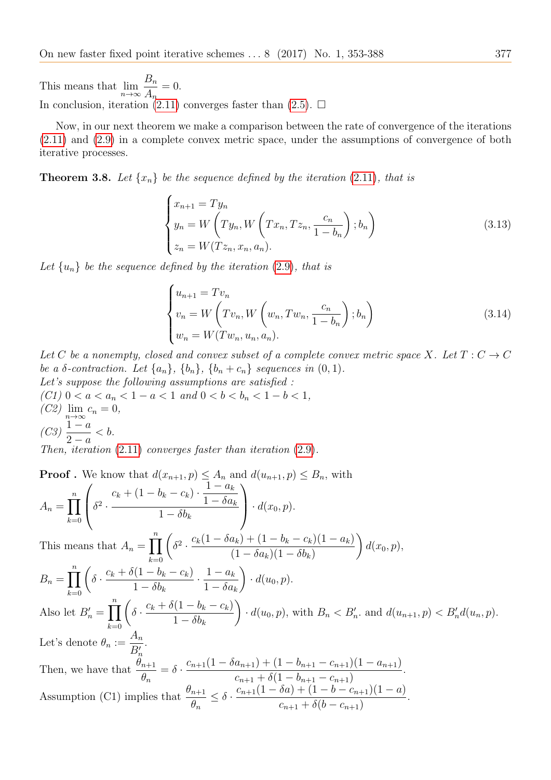This means that  $\lim_{n\to\infty}$  $B_n$  $A_n$  $= 0.$ In conclusion, iteration [\(2.11\)](#page-13-0) converges faster than [\(2.5\)](#page-10-0).  $\Box$ 

Now, in our next theorem we make a comparison between the rate of convergence of the iterations [\(2.11\)](#page-13-0) and [\(2.9\)](#page-12-0) in a complete convex metric space, under the assumptions of convergence of both iterative processes.

**Theorem 3.8.** Let  $\{x_n\}$  be the sequence defined by the iteration (2.[11\)](#page-13-0), that is

$$
\begin{cases}\nx_{n+1} = Ty_n \\
y_n = W\left(Ty_n, W\left(Tx_n, Tz_n, \frac{c_n}{1-b_n}\right); b_n\right) \\
z_n = W(Tz_n, x_n, a_n).\n\end{cases}
$$
\n(3.13)

Let  $\{u_n\}$  be the sequence defined by the iteration [\(2](#page-12-0).9), that is

$$
\begin{cases}\n u_{n+1} = Tv_n \\
 v_n = W\left(Tv_n, W\left(w_n, Tw_n, \frac{c_n}{1 - b_n}\right); b_n\right) \\
 w_n = W(Tw_n, u_n, a_n).\n\end{cases}
$$
\n(3.14)

Let C be a nonempty, closed and convex subset of a complete convex metric space X. Let  $T: C \to C$ be a  $\delta$ -contraction. Let  $\{a_n\}$ ,  $\{b_n\}$ ,  $\{b_n+c_n\}$  sequences in  $(0, 1)$ . Let's suppose the following assumptions are satisfied :

(C1)  $0 < a < a_n < 1 - a < 1$  and  $0 < b < b_n < 1 - b < 1$ ,  $(C2)$   $\lim_{n\to\infty} c_n = 0,$  $(C3)$   $\frac{1-a}{2}$  $2 - a$  $$ Then, iteration (2.[11\)](#page-13-0) converges faster than iteration [\(2](#page-12-0).9).

Proof. We know that 
$$
d(x_{n+1}, p) \leq A_n
$$
 and  $d(u_{n+1}, p) \leq B_n$ , with  
\n
$$
A_n = \prod_{k=0}^n \left( \delta^2 \cdot \frac{c_k + (1 - b_k - c_k) \cdot \frac{1 - a_k}{1 - \delta a_k}}{1 - \delta b_k} \right) \cdot d(x_0, p).
$$
\nThis means that  $A_n = \prod_{k=0}^n \left( \delta^2 \cdot \frac{c_k(1 - \delta a_k) + (1 - b_k - c_k)(1 - a_k)}{(1 - \delta a_k)(1 - \delta b_k)} \right) d(x_0, p),$   
\n
$$
B_n = \prod_{k=0}^n \left( \delta \cdot \frac{c_k + \delta(1 - b_k - c_k)}{1 - \delta b_k} \cdot \frac{1 - a_k}{1 - \delta a_k} \right) \cdot d(u_0, p).
$$
\nAlso let  $B'_n = \prod_{k=0}^n \left( \delta \cdot \frac{c_k + \delta(1 - b_k - c_k)}{1 - \delta b_k} \right) \cdot d(u_0, p)$ , with  $B_n < B'_n$ , and  $d(u_{n+1}, p) < B'_n d(u_n, p)$ .  
\nLet's denote  $\theta_n := \frac{A_n}{B'_n}$ .  
\nThen, we have that  $\frac{\theta_{n+1}}{\theta_n} = \delta \cdot \frac{c_{n+1}(1 - \delta a_{n+1}) + (1 - b_{n+1} - c_{n+1})(1 - a_{n+1})}{c_{n+1} + \delta(1 - b_{n+1} - c_{n+1})}.$   
\nAssumption (C1) implies that  $\frac{\theta_{n+1}}{\theta_n} \leq \delta \cdot \frac{c_{n+1}(1 - \delta a) + (1 - b - c_{n+1})(1 - a)}{c_{n+1} + \delta(b - c_{n+1})}.$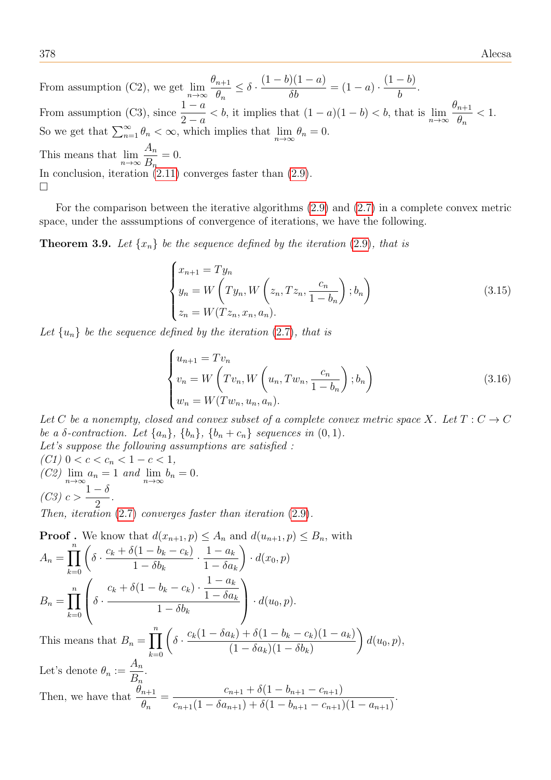378 Alecsa

From assumption (C2), we get  $\lim_{n\to\infty}$  $\theta_{n+1}$  $\theta_n$  $\leq \delta$ .  $(1-b)(1-a)$  $\frac{\partial}{\partial b} = (1 - a) \cdot$  $(1-b)$ b . From assumption (C3), since  $\frac{1-a}{2}$  $\frac{1-a}{2-a} < b$ , it implies that  $(1-a)(1-b) < b$ , that is  $\lim_{n \to \infty} \frac{\theta_{n+1}}{\theta_n}$  $\theta_n$  $< 1$ . So we get that  $\sum_{n=1}^{\infty} \theta_n < \infty$ , which implies that  $\lim_{n \to \infty} \theta_n = 0$ . This means that  $\lim_{n\to\infty}$  $A_n$  $B_n$  $= 0.$ In conclusion, iteration  $(2.11)$  converges faster than  $(2.9)$ .  $\Box$ 

For the comparison between the iterative algorithms [\(2.9\)](#page-12-0) and [\(2.7\)](#page-11-0) in a complete convex metric space, under the asssumptions of convergence of iterations, we have the following.

**Theorem 3.9.** Let  $\{x_n\}$  be the sequence defined by the iteration [\(2](#page-12-0).9), that is

$$
\begin{cases}\nx_{n+1} = Ty_n \\
y_n = W\left(Ty_n, W\left(z_n, Tz_n, \frac{c_n}{1 - b_n}\right); b_n\right) \\
z_n = W(Tz_n, x_n, a_n).\n\end{cases}
$$
\n(3.15)

Let  $\{u_n\}$  be the sequence defined by the iteration [\(2](#page-11-0).7), that is

$$
\begin{cases}\n u_{n+1} = Tv_n \\
 v_n = W\left(Tv_n, W\left(u_n, Tw_n, \frac{c_n}{1 - b_n}\right); b_n\right) \\
 w_n = W(Tw_n, u_n, a_n).\n\end{cases}
$$
\n(3.16)

Let C be a nonempty, closed and convex subset of a complete convex metric space X. Let  $T: C \to C$ be a  $\delta$ -contraction. Let  $\{a_n\}$ ,  $\{b_n\}$ ,  $\{b_n+c_n\}$  sequences in  $(0, 1)$ . Let's suppose the following assumptions are satisfied :

(C1)  $0 < c < c_n < 1 - c < 1$ ,  $(C2)$   $\lim_{n\to\infty} a_n = 1$  and  $\lim_{n\to\infty} b_n = 0$ .  $(C3)$  c >  $1-\delta$ 2 .

Then, iteration  $(2.7)$  $(2.7)$  converges faster than iteration  $(2.9)$  $(2.9)$ .

**Proof.** We know that 
$$
d(x_{n+1}, p) \le A_n
$$
 and  $d(u_{n+1}, p) \le B_n$ , with  
\n
$$
A_n = \prod_{k=0}^n \left( \delta \cdot \frac{c_k + \delta(1 - b_k - c_k)}{1 - \delta b_k} \cdot \frac{1 - a_k}{1 - \delta a_k} \right) \cdot d(x_0, p)
$$
\n
$$
B_n = \prod_{k=0}^n \left( \delta \cdot \frac{c_k + \delta(1 - b_k - c_k) \cdot \frac{1 - a_k}{1 - \delta a_k}}{1 - \delta b_k} \right) \cdot d(u_0, p).
$$
\nThis means that  $B_n = \prod_{k=0}^n \left( \delta \cdot \frac{c_k(1 - \delta a_k) + \delta(1 - b_k - c_k)(1 - a_k)}{(1 - \delta a_k + \delta a_k - \delta a_k)} \right) d$ 

s means th  $k=0$  $(1 - \delta a_k)(1 - \delta b_k)$  $d(u_0, p),$ Let's denote  $\theta_n :=$  $A_n$  $B_n$ . Then, we have that  $\frac{\theta_{n+1}}{a}$  $\theta_n$  $= \frac{c_{n+1} + \delta(1 - b_{n+1} - c_{n+1})}{(1 - \delta)(1 - b_{n+1} - c_n)}$  $c_{n+1}(1 - \delta a_{n+1}) + \delta (1 - b_{n+1} - c_{n+1})(1 - a_{n+1})$ .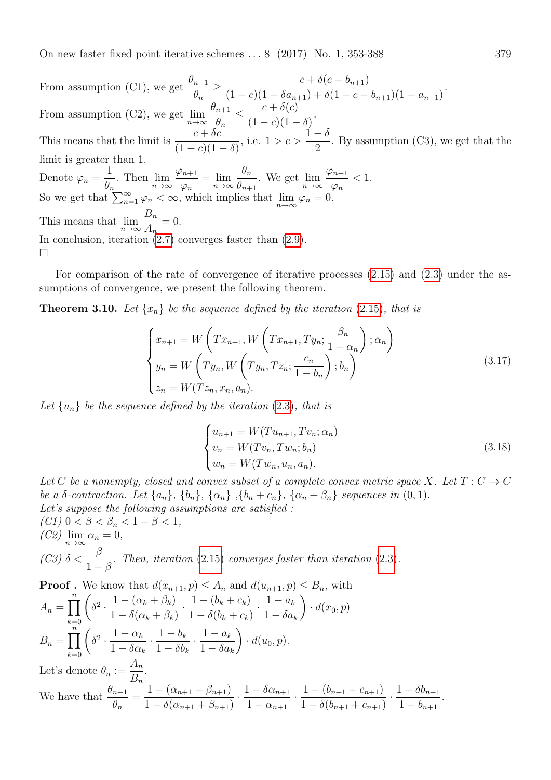On new faster fixed point iterative schemes ... 8 (2017) No. 1, 353-388 379

From assumption (C1), we get  $\frac{\theta_{n+1}}{a}$  $\theta_n$  $\geq \frac{c + \delta(c - b_{n+1})}{(1 - \delta)(1 - \delta)}$  $(1 - c)(1 - \delta a_{n+1}) + \delta (1 - c - b_{n+1})(1 - a_{n+1})$ . From assumption (C2), we get  $\lim_{n\to\infty}$  $\theta_{n+1}$  $\theta_n$  $\leq \frac{c + \delta(c)}{c_1}$  $(1 - c)(1 - \delta)$ . This means that the limit is  $\frac{c + \delta c}{(1 - \lambda)^2}$  $(1 - c)(1 - \delta)$ , i.e.  $1 > c > 1$  $1 - \delta$ 2 . By assumption (C3), we get that the limit is greater than 1. Denote  $\varphi_n =$ 1  $\frac{1}{\theta_n}$ . Then  $\lim_{n\to\infty}$  $\varphi_{n+1}$  $\frac{n+1}{\varphi_n} = \lim_{n \to \infty}$  $\theta_n$  $\frac{\partial n}{\partial n+1}$ . We get  $\lim_{n\to\infty}$  $\varphi_{n+1}$  $\varphi_n$  $< 1$ . So we get that  $\sum_{n=1}^{\infty} \varphi_n < \infty$ , which implies that  $\lim_{n\to\infty} \varphi_n = 0$ . This means that  $\lim_{n\to\infty}$  $B_n$  $A_n$  $= 0.$ In conclusion, iteration  $(2.7)$  converges faster than  $(2.9)$ .  $\Box$ 

For comparison of the rate of convergence of iterative processes [\(2.15\)](#page-15-0) and [\(2.3\)](#page-8-1) under the assumptions of convergence, we present the following theorem.

**Theorem 3.10.** Let  $\{x_n\}$  be the sequence defined by the iteration (2.[15\)](#page-15-0), that is

$$
\begin{cases}\nx_{n+1} = W\left(Tx_{n+1}, W\left(Tx_{n+1}, Ty_n; \frac{\beta_n}{1 - \alpha_n}\right); \alpha_n\right) \\
y_n = W\left(Ty_n, W\left(Ty_n, Tz_n; \frac{c_n}{1 - b_n}\right); b_n\right) \\
z_n = W(Tz_n, x_n, a_n).\n\end{cases} \tag{3.17}
$$

Let  $\{u_n\}$  be the sequence defined by the iteration [\(2](#page-8-1).3), that is

$$
\begin{cases}\n u_{n+1} = W(T u_{n+1}, T v_n; \alpha_n) \\
 v_n = W(T v_n, T w_n; b_n) \\
 w_n = W(T w_n, u_n, a_n).\n\end{cases}
$$
\n(3.18)

Let C be a nonempty, closed and convex subset of a complete convex metric space X. Let  $T: C \to C$ be a  $\delta$ -contraction. Let  $\{a_n\}$ ,  $\{b_n\}$ ,  $\{\alpha_n\}$ ,  $\{b_n+c_n\}$ ,  $\{\alpha_n+\beta_n\}$  sequences in  $(0,1)$ . Let's suppose the following assumptions are satisfied : (C1)  $0 < \beta < \beta_n < 1 - \beta < 1$ ,

(C2)  $\lim_{n\to\infty} \alpha_n = 0$ , (C3)  $\delta < \frac{\beta}{1}$  $1-\beta$ . Then, iteration (2.[15\)](#page-15-0) converges faster than iteration [\(2](#page-8-1).3).

**Proof.** We know that 
$$
d(x_{n+1}, p) \leq A_n
$$
 and  $d(u_{n+1}, p) \leq B_n$ , with  
\n
$$
A_n = \prod_{k=0}^n \left( \delta^2 \cdot \frac{1 - (\alpha_k + \beta_k)}{1 - \delta(\alpha_k + \beta_k)} \cdot \frac{1 - (b_k + c_k)}{1 - \delta(b_k + c_k)} \cdot \frac{1 - a_k}{1 - \delta a_k} \right) \cdot d(x_0, p)
$$
\n
$$
B_n = \prod_{k=0}^n \left( \delta^2 \cdot \frac{1 - \alpha_k}{1 - \delta \alpha_k} \cdot \frac{1 - b_k}{1 - \delta b_k} \cdot \frac{1 - a_k}{1 - \delta a_k} \right) \cdot d(u_0, p).
$$
\nLet's denote  $\theta_n := \frac{A_n}{B_n}$ .

We have that  $\frac{\theta_{n+1}}{a}$  $\theta_n$  $=\frac{1-(\alpha_{n+1}+\beta_{n+1})}{\sigma}$  $1 - \delta(\alpha_{n+1} + \beta_{n+1})$  $\frac{1-\delta\alpha_{n+1}}{1}$  $1 - \alpha_{n+1}$  $\frac{1-(b_{n+1}+c_{n+1})}{1-\varsigma}$  $1 - \delta(b_{n+1} + c_{n+1})$  $\frac{1-\delta b_{n+1}}{1-\delta a_n}$  $1 - b_{n+1}$ .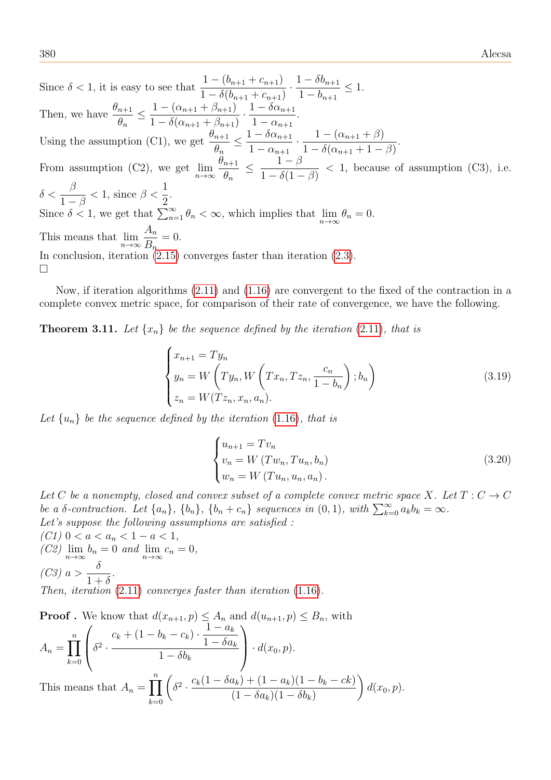Since  $\delta < 1$ , it is easy to see that  $\frac{1-(b_{n+1}+c_{n+1})}{1-\delta(1-\delta)}$  $1 - \delta(b_{n+1} + c_{n+1})$  $\frac{1-\delta b_{n+1}}{1-\delta a_n}$  $1 - b_{n+1}$  $\leq 1$ . Then, we have  $\frac{\theta_{n+1}}{2}$  $\theta_n$  $\leq \frac{1-(\alpha_{n+1}+\beta_{n+1})}{\sigma}$  $1 - \delta(\alpha_{n+1} + \beta_{n+1})$  $\frac{1-\delta\alpha_{n+1}}{1}$  $1 - \alpha_{n+1}$ . Using the assumption (C1), we get  $\frac{\theta_{n+1}}{a}$  $\theta_n$  $\leq \frac{1-\delta\alpha_{n+1}}{1}$  $1 - \alpha_{n+1}$  $\frac{1-(\alpha_{n+1}+\beta)}{1-\beta}$  $1-\delta(\alpha_{n+1}+1-\beta)$ . From assumption (C2), we get  $\lim_{n\to\infty}$  $\theta_{n+1}$  $\theta_n$  $\leq \frac{1-\beta}{1-\beta}$  $1 - \delta(1 - \beta)$  $< 1$ , because of assumption (C3), i.e.  $\delta < \frac{\beta}{1}$  $1-\beta$  $< 1$ , since  $\beta < \frac{1}{2}$ 2 . Since  $\delta < 1$ , we get that  $\sum_{n=1}^{\infty} \theta_n < \infty$ , which implies that  $\lim_{n \to \infty} \theta_n = 0$ . This means that  $\lim_{n\to\infty}$  $A_n$  $B_n$  $= 0.$ In conclusion, iteration  $(2.15)$  converges faster than iteration  $(2.3)$ .  $\Box$ 

Now, if iteration algorithms [\(2.11\)](#page-13-0) and [\(1.16\)](#page-6-2) are convergent to the fixed of the contraction in a complete convex metric space, for comparison of their rate of convergence, we have the following.

**Theorem 3.11.** Let  $\{x_n\}$  be the sequence defined by the iteration (2.[11\)](#page-13-0), that is

$$
\begin{cases}\nx_{n+1} = Ty_n \\
y_n = W\left(Ty_n, W\left(Tx_n, Tz_n, \frac{c_n}{1-b_n}\right); b_n\right) \\
z_n = W(Tz_n, x_n, a_n).\n\end{cases}
$$
\n(3.19)

Let  $\{u_n\}$  be the sequence defined by the iteration (1.[16\)](#page-6-2), that is

$$
\begin{cases}\n u_{n+1} = Tv_n \\
 v_n = W (Tw_n, Tu_n, b_n) \\
 w_n = W (Tu_n, u_n, a_n).\n\end{cases}
$$
\n(3.20)

Let C be a nonempty, closed and convex subset of a complete convex metric space X. Let  $T: C \to C$ be a  $\delta$ -contraction. Let  $\{a_n\}$ ,  $\{b_n\}$ ,  $\{b_n+c_n\}$  sequences in  $(0,1)$ , with  $\sum_{k=0}^{\infty} a_k b_k = \infty$ . Let's suppose the following assumptions are satisfied :

(C1)  $0 < a < a_n < 1 - a < 1$ ,  $(C2)$   $\lim_{n \to \infty} b_n = 0$  and  $\lim_{n \to \infty} c_n = 0$ ,  $(C3)$  a >  $\delta$  $1+\delta$ . Then, iteration  $(2.11)$  $(2.11)$  converges faster than iteration  $(1.16)$  $(1.16)$ .

**Proof.** We know that 
$$
d(x_{n+1}, p) \le A_n
$$
 and  $d(u_{n+1}, p) \le B_n$ , with  
\n
$$
A_n = \prod_{k=0}^n \left( \delta^2 \cdot \frac{c_k + (1 - b_k - c_k) \cdot \frac{1 - a_k}{1 - \delta a_k}}{1 - \delta b_k} \right) \cdot d(x_0, p).
$$
\nThis means that  $A_n = \prod_{k=0}^n \left( \delta^2 \cdot \frac{c_k(1 - \delta a_k) + (1 - a_k)(1 - b_k - ck)}{(1 - \delta a_k)(1 - \delta b_k)} \right) d(x_0, p).$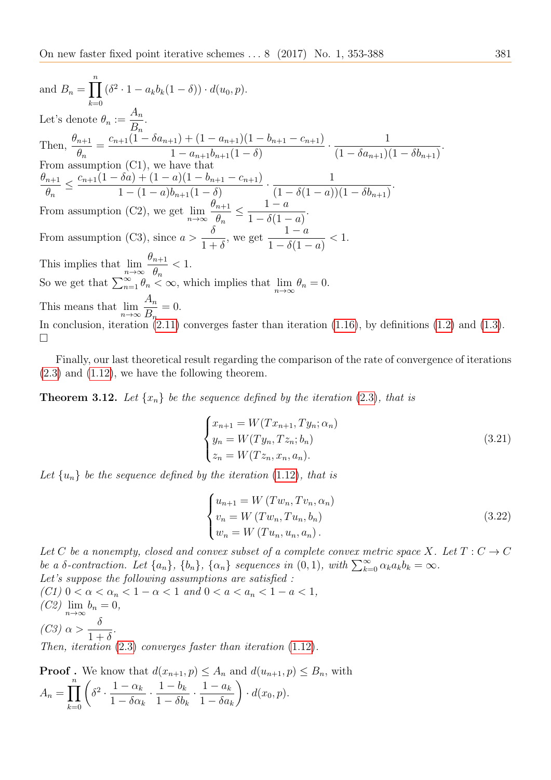and  $B_n = \prod^n$  $_{k=0}$  $(\delta^2 \cdot 1 - a_k b_k (1 - \delta)) \cdot d(u_0, p).$ Let's denote  $\theta_n :=$  $\frac{A_n}{D}$ .  $B_n$ Then,  $\frac{\theta_{n+1}}{a}$  $\theta_n$  $=\frac{c_{n+1}(1-\delta a_{n+1})+(1-a_{n+1})(1-b_{n+1}-c_{n+1})}{1-(1-\delta a_{n+1})(1-\delta a_{n+1})}$  $1 - a_{n+1}b_{n+1}(1 - \delta)$  $\cdot \frac{1}{(1-\varsigma)}$  $(1 - \delta a_{n+1})(1 - \delta b_{n+1})$ . From assumption (C1), we have that  $\theta_{n+1}$  $\theta_n$  $\leq \frac{c_{n+1}(1-\delta a) + (1-a)(1-b_{n+1}-c_{n+1})}{(1-\delta a)(1-\delta a)(1-\delta a)}$  $1 - (1 - a)b_{n+1}(1 - \delta)$  $\frac{1}{(1-\frac{5}{4})^2}$  $(1 - \delta(1 - a))(1 - \delta b_{n+1})$ . From assumption (C2), we get  $\lim_{n\to\infty}$  $\theta_{n+1}$  $\theta_n$  $\leq \frac{1-a}{1-\frac{s(a)}{a}}$  $1 - \delta(1 - a)$ . From assumption (C3), since  $a >$  $\delta$  $1+\delta$ , we get  $1 - a$  $1 - \delta(1 - a)$  $< 1$ . This implies that  $\lim_{n\to\infty}$  $\theta_{n+1}$  $\theta_n$  $< 1$ . So we get that  $\sum_{n=1}^{\infty} \theta_n < \infty$ , which implies that  $\lim_{n \to \infty} \theta_n = 0$ . This means that  $\lim_{n\to\infty}$  $A_n$  $B_n$  $= 0.$ In conclusion, iteration [\(2.11\)](#page-13-0) converges faster than iteration [\(1.16\)](#page-6-2), by definitions [\(1.2\)](#page-2-0) and [\(1.3\)](#page-2-1).  $\Box$ 

Finally, our last theoretical result regarding the comparison of the rate of convergence of iterations  $(2.3)$  and  $(1.12)$ , we have the following theorem.

**Theorem 3.12.** Let  $\{x_n\}$  be the sequence defined by the iteration (2.[3\)](#page-8-1), that is

$$
\begin{cases}\n x_{n+1} = W(T x_{n+1}, T y_n; \alpha_n) \\
 y_n = W(T y_n, T z_n; b_n) \\
 z_n = W(T z_n, x_n, a_n).\n\end{cases}
$$
\n(3.21)

Let  $\{u_n\}$  be the sequence defined by the iteration (1.[12\)](#page-5-1), that is

$$
\begin{cases}\n u_{n+1} = W(Tw_n, Tv_n, \alpha_n) \\
 v_n = W(Tw_n, Tu_n, b_n) \\
 w_n = W(Tu_n, u_n, a_n).\n\end{cases}
$$
\n(3.22)

Let C be a nonempty, closed and convex subset of a complete convex metric space X. Let  $T: C \to C$ be a  $\delta$ -contraction. Let  $\{a_n\}$ ,  $\{b_n\}$ ,  $\{\alpha_n\}$  sequences in  $(0, 1)$ , with  $\sum_{k=0}^{\infty} \alpha_k a_k b_k = \infty$ . Let's suppose the following assumptions are satisfied : (C1)  $0 < \alpha < \alpha_n < 1 - \alpha < 1$  and  $0 < a < a_n < 1 - \alpha < 1$ ,

 $(C2)$   $\lim_{n\to\infty} b_n = 0,$  $(C3) \alpha >$  $\delta$  $1+\delta$ . Then, iteration (2.[3\)](#page-8-1) converges faster than iteration (1.[12\)](#page-5-1).

**Proof**. We know that  $d(x_{n+1}, p) \leq A_n$  and  $d(u_{n+1}, p) \leq B_n$ , with  $A_n = \prod^n$  $_{k=0}$  $\sqrt{ }$  $\delta^2 \cdot \frac{1-\alpha_k}{1-\varsigma}$  $1 - \delta \alpha_k$  $\frac{1-b_k}{1-\varsigma}$  $1 - \delta b_k$  $\frac{1-a_k}{1-\varsigma}$  $1 - \delta a_k$  $\setminus$  $\cdot d(x_0, p).$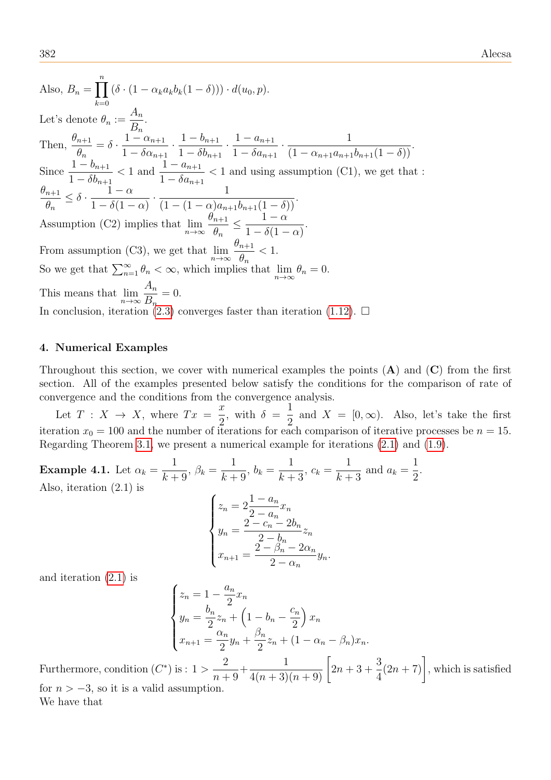Also,  $B_n = \prod^n$  $_{k=0}$  $(\delta \cdot (1 - \alpha_k a_k b_k (1 - \delta))) \cdot d(u_0, p).$ Let's denote  $\theta_n :=$  $\frac{A_n}{D}$ .  $B_n$ Then,  $\frac{\theta_{n+1}}{a}$  $\theta_n$  $=\delta\cdot\frac{1-\alpha_{n+1}}{1-\epsilon}$  $1 - \delta \alpha_{n+1}$  $\frac{1-b_{n+1}}{1-\frac{5}{n}}$  $1 - \delta b_{n+1}$  $\frac{1 - a_{n+1}}{1 - s}$  $1 - \delta a_{n+1}$  $\cdot \frac{1}{\sqrt{1-\frac{1}{1-\frac{1}{1-\frac{1}{1-\frac{1}{1-\frac{1}{1-\frac{1}{1-\frac{1}{1-\frac{1}{1-\frac{1}{1-\frac{1}{1-\frac{1}{1-\frac{1}{1-\frac{1}{1-\frac{1}{1-\frac{1}{1-\frac{1}{1-\frac{1}{1-\frac{1}{1-\frac{1}{1-\frac{1}{1-\frac{1}{1-\frac{1}{1-\frac{1}{1-\frac{1}{1-\frac{1}{1-\frac{1}{1-\frac{1}{1-\frac{1}{1-\frac{1}{1-\frac{1}{1-\frac{1}{1-\frac{1}{1-\frac{1}{1-\frac{1}{1-\frac{1}{$  $\frac{1}{(1 - \alpha_{n+1}a_{n+1}b_{n+1}(1-\delta))}$ . Since  $\frac{1 - b_{n+1}}{1 - s}$  $1 - \delta b_{n+1}$  $< 1$  and  $\frac{1 - a_{n+1}}{1 - s}$  $1 - \delta a_{n+1}$  $<$  1 and using assumption (C1), we get that :  $\theta_{n+1}$  $\theta_n$  $\leq \delta$  .  $1 - \alpha$  $1 - \delta(1 - \alpha)$  $\cdot \frac{1}{(1-(1-\lambda))}$  $\frac{1}{(1-(1-\alpha)a_{n+1}b_{n+1}(1-\delta))}$ . Assumption (C2) implies that  $\lim_{n\to\infty}$  $\theta_{n+1}$  $\theta_n$  $\leq \frac{1-\alpha}{1-\frac{S(1-\alpha)}{2}}$  $1 - \delta(1 - \alpha)$ . From assumption (C3), we get that  $\lim_{n\to\infty}$  $\theta_{n+1}$  $\theta_n$  $< 1$ . So we get that  $\sum_{n=1}^{\infty} \theta_n < \infty$ , which implies that  $\lim_{n \to \infty} \theta_n = 0$ . This means that  $\lim_{n\to\infty}$  $A_n$  $B_n$  $= 0.$ In conclusion, iteration [\(2.3\)](#page-8-1) converges faster than iteration [\(1.12\)](#page-5-1).  $\Box$ 

#### 4. Numerical Examples

Throughout this section, we cover with numerical examples the points  $(A)$  and  $(C)$  from the first section. All of the examples presented below satisfy the conditions for the comparison of rate of convergence and the conditions from the convergence analysis.

Let  $T: X \to X$ , where  $Tx = \frac{x}{2}$ 2 , with  $\delta =$ 1 2 and  $X = [0, \infty)$ . Also, let's take the first iteration  $x_0 = 100$  and the number of iterations for each comparison of iterative processes be  $n = 15$ . Regarding Theorem [3.1,](#page-17-0) we present a numerical example for iterations [\(2.1\)](#page-7-0) and [\(1.9\)](#page-4-0).

<span id="page-29-0"></span>Example 4.1. Let  $\alpha_k =$ 1  $\frac{1}{k+9}$ ,  $\beta_k =$ 1  $\frac{1}{k+9}$ ,  $b_k =$ 1  $\frac{1}{k+3}$ ,  $c_k =$ 1  $\frac{1}{k+3}$  and  $a_k =$ 1 2 . Also, iteration (2.1) is  $\sqrt{ }$  $\int_{u}^{z_n} = 2$  $1 - a_n$  $2 - a_n$  $\bar{x}_n$  $2 - c_n - 2b_n$ 

$$
\begin{cases} y_n = \frac{2 - c_n - 2b_n}{2 - b_n} z_n \\ x_{n+1} = \frac{2 - \beta_n - 2\alpha_n}{2 - \alpha_n} y_n. \end{cases}
$$

and iteration [\(2.1\)](#page-7-0) is

$$
\begin{cases} z_n = 1 - \frac{a_n}{2} x_n \\ y_n = \frac{b_n}{2} z_n + \left( 1 - b_n - \frac{c_n}{2} \right) x_n \\ x_{n+1} = \frac{\alpha_n}{2} y_n + \frac{\beta_n}{2} z_n + (1 - \alpha_n - \beta_n) x_n. \end{cases}
$$

Furthermore, condition  $(C^*)$  is : 1 > 2  $n + 9$  $+$  $\frac{1}{4(n+3)(n+9)}$  $2n + 3 +$ 3 4  $(2n + 7)$ , which is satisfied for  $n > -3$ , so it is a valid assumption. We have that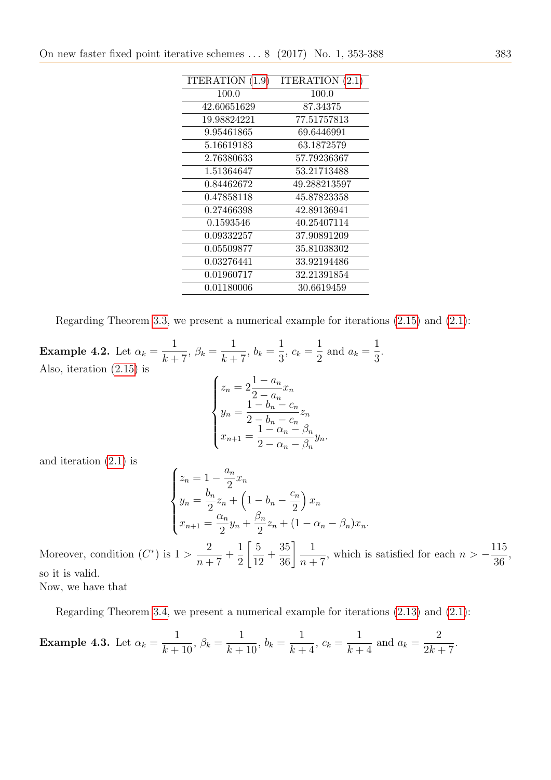| ITERATION (1.9) | ITERATION $(2.1)$ |
|-----------------|-------------------|
| 100.0           | 100.0             |
| 42.60651629     | 87.34375          |
| 19.98824221     | 77.51757813       |
| 9.95461865      | 69.6446991        |
| 5.16619183      | 63.1872579        |
| 2.76380633      | 57.79236367       |
| 1.51364647      | 53.21713488       |
| 0.84462672      | 49.288213597      |
| 0.47858118      | 45.87823358       |
| 0.27466398      | 42.89136941       |
| 0.1593546       | 40.25407114       |
| 0.09332257      | 37.90891209       |
| 0.05509877      | 35.81038302       |
| 0.03276441      | 33.92194486       |
| 0.01960717      | 32.21391854       |
| 0.01180006      | 30.6619459        |
|                 |                   |

Regarding Theorem [3.3,](#page-18-0) we present a numerical example for iterations [\(2.15\)](#page-15-0) and [\(2.1\)](#page-7-0):

<span id="page-30-0"></span>Example 4.2. Let  $\alpha_k =$ 1  $\frac{1}{k+7}$ ,  $\beta_k =$ 1  $\frac{1}{k+7}, b_k =$ 1  $\frac{1}{3}$ ,  $c_k =$ 1  $\frac{1}{2}$  and  $a_k =$ 1 3 . Also, iteration [\(2.15\)](#page-15-0) is  $\sqrt{ }$  $\int$  $\overline{\mathcal{L}}$  $z_n = 2$  $1 - a_n$  $2 - a_n$  $\bar{x}_n$  $y_n =$  $1 - b_n - c_n$  $2-b_n-c_n$  $z_n$  $x_{n+1} =$  $1 - \alpha_n - \beta_n$  $2-\alpha_n-\beta_n$  $y_n$ .

and iteration [\(2.1\)](#page-7-0) is

$$
\begin{cases} z_n = 1 - \frac{a_n}{2} x_n \\ y_n = \frac{b_n}{2} z_n + \left( 1 - b_n - \frac{c_n}{2} \right) x_n \\ x_{n+1} = \frac{\alpha_n}{2} y_n + \frac{\beta_n}{2} z_n + (1 - \alpha_n - \beta_n) x_n. \end{cases}
$$

Moreover, condition  $(C^*)$  is  $1 >$ 2  $n + 7$ + 1 2  $\sqrt{5}$ 12 +  $\frac{35}{36}$   $\frac{1}{n+1}$  $n + 7$ , which is satisfied for each  $n > -\frac{115}{26}$ 36 , so it is valid. Now, we have that

Regarding Theorem [3.4,](#page-19-0) we present a numerical example for iterations [\(2.13\)](#page-14-0) and [\(2.1\)](#page-7-0):

<span id="page-30-1"></span>**Example 4.3.** Let 
$$
\alpha_k = \frac{1}{k+10}
$$
,  $\beta_k = \frac{1}{k+10}$ ,  $b_k = \frac{1}{k+4}$ ,  $c_k = \frac{1}{k+4}$  and  $a_k = \frac{2}{2k+7}$ .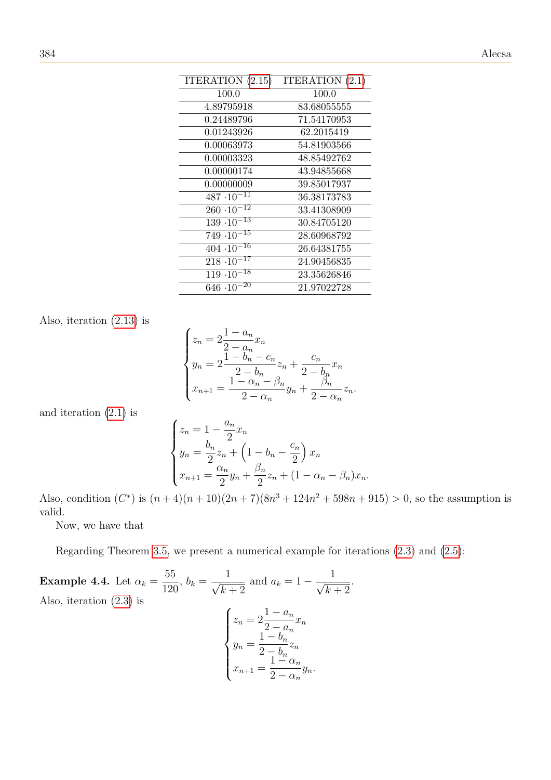| ITERATION (2.15)                | ITERATION $(2.1)$ |
|---------------------------------|-------------------|
| 100.0                           | 100.0             |
| 4.89795918                      | 83.680555555      |
| 0.24489796                      | 71.54170953       |
| 0.01243926                      | 62.2015419        |
| 0.00063973                      | 54.81903566       |
| 0.00003323                      | 48.85492762       |
| 0.00000174                      | 43.94855668       |
| 0.00000009                      | 39.85017937       |
| $487 \cdot 10^{-11}$            | 36.38173783       |
| $\overline{260 \cdot 10^{-12}}$ | 33.41308909       |
| $139 \cdot 10^{-13}$            | 30.84705120       |
| $749 \cdot 10^{-15}$            | 28.60968792       |
| $404 \cdot 10^{-16}$            | 26.64381755       |
| $218 \cdot \overline{10^{-17}}$ | 24.90456835       |
| $119 \cdot 10^{-18}$            | 23.35626846       |
| $646 \cdot 10^{-20}$            | 21.97022728       |

Also, iteration [\(2.13\)](#page-14-0) is

$$
\begin{cases} z_n = 2\frac{1 - a_n}{2 - a_n} x_n \\ y_n = 2\frac{1 - b_n - c_n}{2 - b_n} z_n + \frac{c_n}{2 - b_n} x_n \\ x_{n+1} = \frac{1 - \alpha_n - \beta_n}{2 - \alpha_n} y_n + \frac{\beta_n}{2 - \alpha_n} z_n. \end{cases}
$$

and iteration [\(2.1\)](#page-7-0) is

$$
\begin{cases} z_n = 1 - \frac{a_n}{2} x_n \\ y_n = \frac{b_n}{2} z_n + \left( 1 - b_n - \frac{c_n}{2} \right) x_n \\ x_{n+1} = \frac{\alpha_n}{2} y_n + \frac{\beta_n}{2} z_n + (1 - \alpha_n - \beta_n) x_n. \end{cases}
$$

Also, condition  $(C^*)$  is  $(n+4)(n+10)(2n+7)(8n^3+124n^2+598n+915) > 0$ , so the assumption is valid.

Now, we have that

Regarding Theorem [3.5,](#page-21-0) we present a numerical example for iterations [\(2.3\)](#page-8-1) and [\(2.5\)](#page-10-0):

Example 4.4. Let 
$$
\alpha_k = \frac{55}{120}
$$
,  $b_k = \frac{1}{\sqrt{k+2}}$  and  $a_k = 1 - \frac{1}{\sqrt{k+2}}$ .  
Also, iteration (2.3) is\n
$$
\begin{cases}\nz_n = 2\frac{1 - a_n}{2 - a_n}x_n \\
y_n = \frac{1 - b_n}{2 - b_n}z_n \\
x_{n+1} = \frac{1 - \alpha_n}{2 - \alpha_n}y_n.\n\end{cases}
$$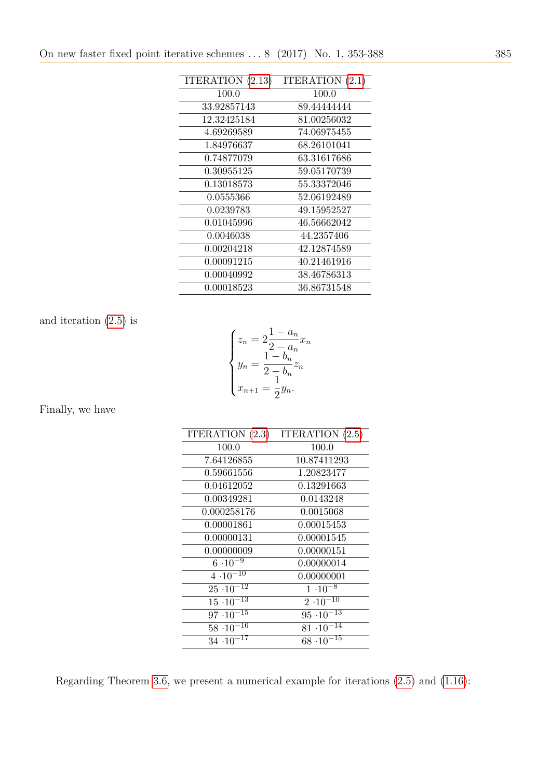| ITERATION (2.13) | ITERATION $(2.1)$ |
|------------------|-------------------|
| 100.0            | 100.0             |
| 33.92857143      | 89.44444444       |
| 12.32425184      | 81.00256032       |
| 4.69269589       | 74.06975455       |
| 1.84976637       | 68.26101041       |
| 0.74877079       | 63.31617686       |
| 0.30955125       | 59.05170739       |
| 0.13018573       | 55.33372046       |
| 0.0555366        | 52.06192489       |
| 0.0239783        | 49.15952527       |
| 0.01045996       | 46.56662042       |
| 0.0046038        | 44.2357406        |
| 0.00204218       | 42.12874589       |
| 0.00091215       | 40.21461916       |
| 0.00040992       | 38.46786313       |
| 0.00018523       | 36.86731548       |

and iteration [\(2.5\)](#page-10-0) is

$$
\begin{cases} z_n = 2\frac{1 - a_n}{2 - a_n} x_n \\ y_n = \frac{1 - b_n}{2 - b_n} z_n \\ x_{n+1} = \frac{1}{2} y_n. \end{cases}
$$

Finally, we have

| ITERATION $(2.3)$              | ITERATION $(2.5)$   |
|--------------------------------|---------------------|
| 100.0                          | 100.0               |
| 7.64126855                     | 10.87411293         |
| $\,0.59661556\,$               | 1.20823477          |
| 0.04612052                     | 0.13291663          |
| $\,0.00349281\,$               | 0.0143248           |
| 0.000258176                    | 0.0015068           |
| 0.00001861                     | 0.00015453          |
| 0.00000131                     | 0.00001545          |
| 0.00000009                     | 0.00000151          |
| $6 \cdot 10^{-9}$              | 0.00000014          |
| $4 \cdot 10^{-10}$             | 0.00000001          |
| $25 \cdot 10^{-12}$            | $1 \cdot 10^{-8}$   |
| $15 \cdot \overline{10^{-13}}$ | $2 \cdot 10^{-10}$  |
| $97 \cdot 10^{-15}$            | $95\cdot10^{-13}$   |
| $58 \cdot 10^{-16}$            | $81 \cdot 10^{-14}$ |
| $34 \cdot 10^{-17}$            | $68 \cdot 10^{-15}$ |

Regarding Theorem [3.6,](#page-22-0) we present a numerical example for iterations [\(2.5\)](#page-10-0) and [\(1.16\)](#page-6-2):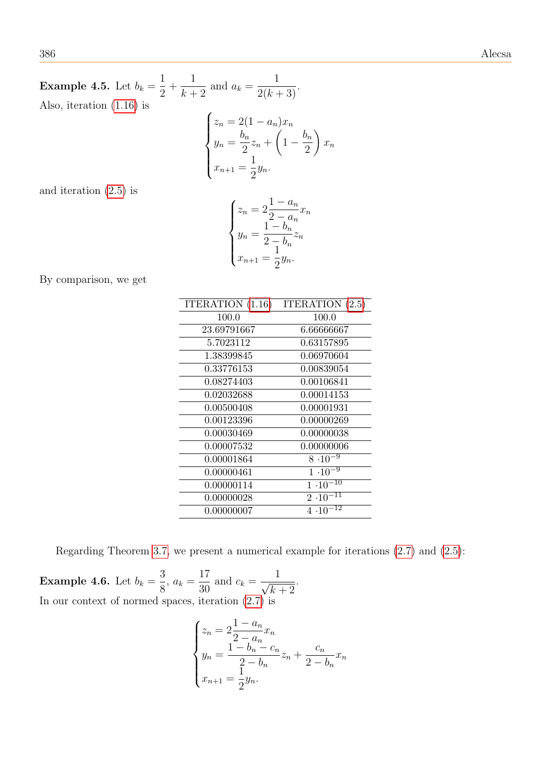Example 4.5. Let  $b_k =$ 1 2  $+$ 1  $\frac{1}{k+2}$  and  $a_k =$ 1  $\frac{1}{2(k+3)}$ . Also, iteration [\(1.16\)](#page-6-2) is

$$
\begin{cases} z_n = 2(1 - a_n)x_n \\ y_n = \frac{b_n}{2}z_n + \left(1 - \frac{b_n}{2}\right)x_n \\ x_{n+1} = \frac{1}{2}y_n. \end{cases}
$$

and iteration [\(2.5\)](#page-10-0) is

$$
\begin{cases} z_n = 2\frac{1 - a_n}{2 - a_n} x_n \\ y_n = \frac{1 - b_n}{2 - b_n} z_n \\ x_{n+1} = \frac{1}{2} y_n. \end{cases}
$$

By comparison, we get

| ITERATION (1.16) | ITERATION $(2.5)$  |
|------------------|--------------------|
| 100.0            | 100.0              |
| 23.69791667      | 6.66666667         |
| 5.7023112        | 0.63157895         |
| 1.38399845       | 0.06970604         |
| ${ 0.33776153}$  | 0.00839054         |
| 0.08274403       | 0.00106841         |
| 0.02032688       | 0.00014153         |
| 0.00500408       | 0.00001931         |
| 0.00123396       | 0.00000269         |
| 0.00030469       | 0.00000038         |
| 0.00007532       | 0.00000006         |
| $\,0.00001864\,$ | $8 \cdot 10^{-9}$  |
| 0.00000461       | $1 \cdot 10^{-9}$  |
| 0.00000114       | $1.10^{-10}$       |
| 0.00000028       | $2 \cdot 10^{-11}$ |
| 0.00000007       | 12<br>4.10         |

Regarding Theorem [3.7,](#page-23-0) we present a numerical example for iterations [\(2.7\)](#page-11-0) and [\(2.5\)](#page-10-0):

<span id="page-33-0"></span>Example 4.6. Let  $b_k =$ 3  $\frac{8}{8}$ ,  $a_k =$ 17  $rac{1}{30}$  and  $c_k =$  $\frac{1}{\sqrt{1-\frac{1}{2}}}$  $k+2$ . In our context of normed spaces, iteration  $(2.7)$  is

$$
\begin{cases} z_n = 2\frac{1 - a_n}{2 - a_n} x_n \\ y_n = \frac{1 - b_n - c_n}{2 - b_n} z_n + \frac{c_n}{2 - b_n} x_n \\ x_{n+1} = \frac{1}{2} y_n. \end{cases}
$$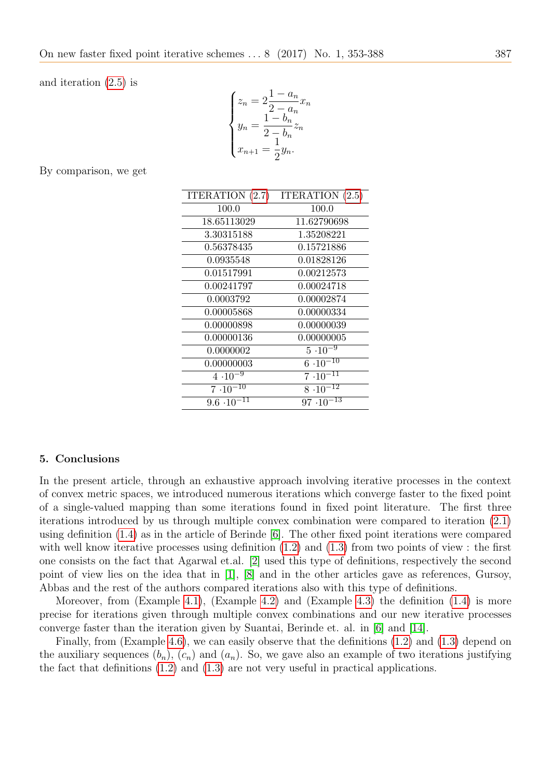and iteration [\(2.5\)](#page-10-0) is

$$
\begin{cases} z_n = 2\frac{1 - a_n}{2 - a_n} x_n \\ y_n = \frac{1 - b_n}{2 - b_n} z_n \\ x_{n+1} = \frac{1}{2} y_n. \end{cases}
$$

By comparison, we get

| ITERATION (2.7)      | ITERATION $(2.5)$   |
|----------------------|---------------------|
| 100.0                | 100.0               |
| 18.65113029          | 11.62790698         |
| 3.30315188           | 1.35208221          |
| 0.56378435           | 0.15721886          |
| 0.0935548            | 0.01828126          |
| 0.01517991           | 0.00212573          |
| 0.00241797           | 0.00024718          |
| 0.0003792            | 0.00002874          |
| 0.00005868           | 0.00000334          |
| 0.00000898           | 0.00000039          |
| 0.00000136           | 0.00000005          |
| 0.0000002            | $5 \cdot 10^{-9}$   |
| 0.00000003           | $6.10^{-10}$        |
| $4 \cdot 10^{-9}$    | $7 \cdot 10^{-11}$  |
| $7.10^{-10}$         | $8 \cdot 10^{-12}$  |
| $9.6 \cdot 10^{-11}$ | $97 \cdot 10^{-13}$ |

#### 5. Conclusions

In the present article, through an exhaustive approach involving iterative processes in the context of convex metric spaces, we introduced numerous iterations which converge faster to the fixed point of a single-valued mapping than some iterations found in fixed point literature. The first three iterations introduced by us through multiple convex combination were compared to iteration [\(2.1\)](#page-7-0) using definition [\(1.4\)](#page-3-2) as in the article of Berinde [\[6\]](#page-35-2). The other fixed point iterations were compared with well know iterative processes using definition  $(1.2)$  and  $(1.3)$  from two points of view : the first one consists on the fact that Agarwal et.al. [\[2\]](#page-35-15) used this type of definitions, respectively the second point of view lies on the idea that in [\[1\]](#page-35-0), [\[8\]](#page-35-3) and in the other articles gave as references, Gursoy, Abbas and the rest of the authors compared iterations also with this type of definitions.

Moreover, from (Example [4.1\)](#page-29-0), (Example [4.2\)](#page-30-0) and (Example [4.3\)](#page-30-1) the definition  $(1.4)$  is more precise for iterations given through multiple convex combinations and our new iterative processes converge faster than the iteration given by Suantai, Berinde et. al. in [\[6\]](#page-35-2) and [\[14\]](#page-35-5).

Finally, from (Example [4.6\)](#page-33-0), we can easily observe that the definitions [\(1.2\)](#page-2-0) and [\(1.3\)](#page-2-1) depend on the auxiliary sequences  $(b_n)$ ,  $(c_n)$  and  $(a_n)$ . So, we gave also an example of two iterations justifying the fact that definitions [\(1.2\)](#page-2-0) and [\(1.3\)](#page-2-1) are not very useful in practical applications.